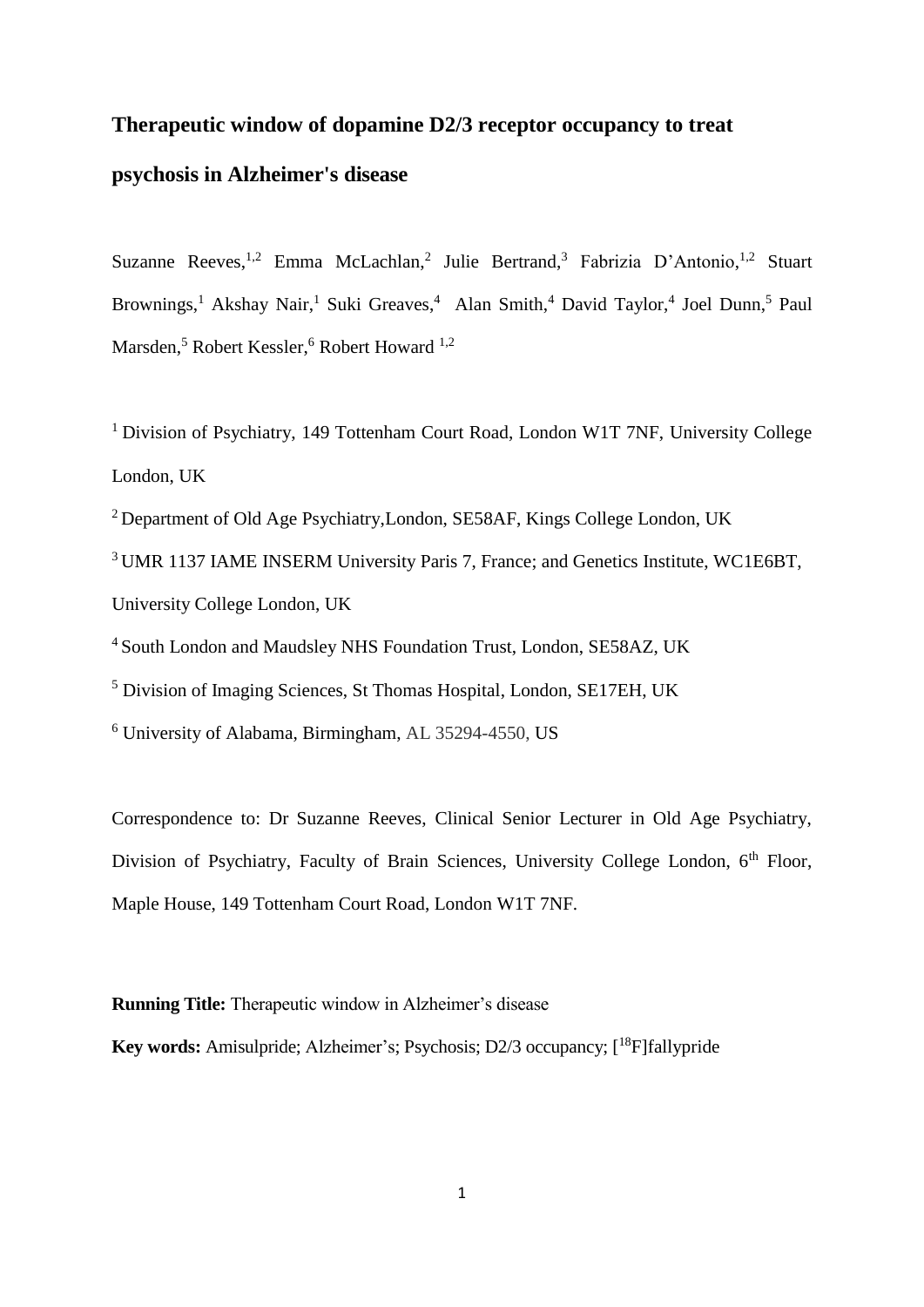# **Therapeutic window of dopamine D2/3 receptor occupancy to treat psychosis in Alzheimer's disease**

Suzanne Reeves,<sup>1,2</sup> Emma McLachlan,<sup>2</sup> Julie Bertrand,<sup>3</sup> Fabrizia D'Antonio,<sup>1,2</sup> Stuart Brownings,<sup>1</sup> Akshay Nair,<sup>1</sup> Suki Greaves,<sup>4</sup> Alan Smith,<sup>4</sup> David Taylor,<sup>4</sup> Joel Dunn,<sup>5</sup> Paul Marsden,<sup>5</sup> Robert Kessler,<sup>6</sup> Robert Howard <sup>1,2</sup>

<sup>1</sup> Division of Psychiatry, 149 Tottenham Court Road, London W1T 7NF, University College London, UK

<sup>2</sup> Department of Old Age Psychiatry,London, SE58AF, Kings College London, UK

<sup>3</sup> UMR 1137 IAME INSERM University Paris 7, France; and Genetics Institute, WC1E6BT, University College London, UK

<sup>4</sup> South London and Maudsley NHS Foundation Trust, London, SE58AZ, UK

<sup>5</sup> Division of Imaging Sciences, St Thomas Hospital, London, SE17EH, UK

<sup>6</sup> University of Alabama, Birmingham, AL 35294-4550, US

Correspondence to: Dr Suzanne Reeves, Clinical Senior Lecturer in Old Age Psychiatry, Division of Psychiatry, Faculty of Brain Sciences, University College London, 6<sup>th</sup> Floor, Maple House, 149 Tottenham Court Road, London W1T 7NF.

**Running Title:** Therapeutic window in Alzheimer's disease

Key words: Amisulpride; Alzheimer's; Psychosis; D2/3 occupancy; [<sup>18</sup>F]fallypride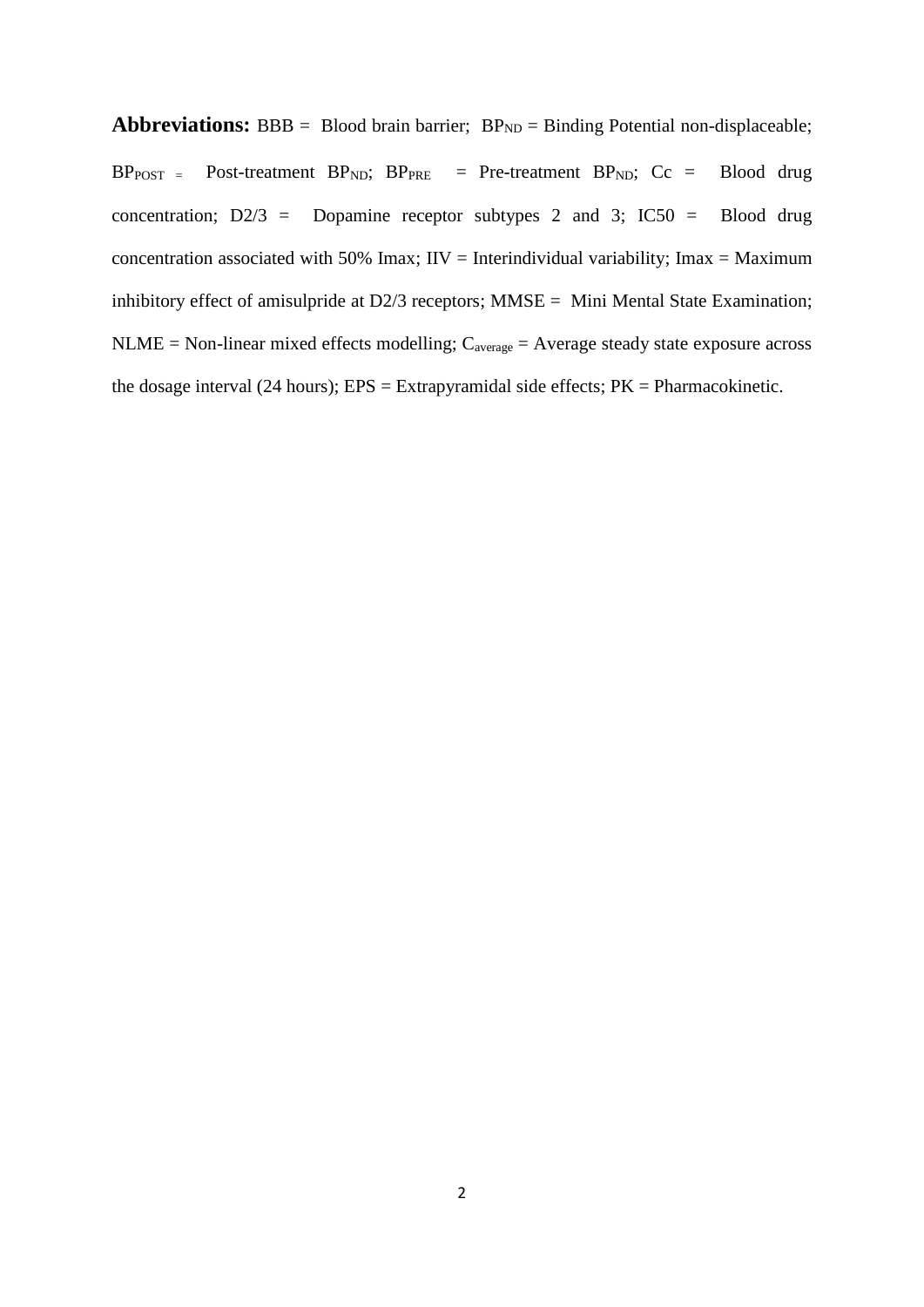**Abbreviations:** BBB = Blood brain barrier;  $BP_{ND}$  = Binding Potential non-displaceable;  $BP<sub>POST</sub>$  = Post-treatment  $BP<sub>ND</sub>$ ;  $BP<sub>PRE</sub>$  = Pre-treatment  $BP<sub>ND</sub>$ ;  $Cc$  = Blood drug concentration;  $D\frac{2}{3}$  = Dopamine receptor subtypes 2 and 3; IC50 = Blood drug concentration associated with 50% Imax;  $\text{HV} = \text{Interindividual variability}$ ; Imax = Maximum inhibitory effect of amisulpride at D2/3 receptors; MMSE = Mini Mental State Examination;  $NLME = Non-linear mixed effects modelling; C<sub>average</sub> = Average steady state exposure across$ the dosage interval (24 hours);  $EPS = Extrapyramidal side effects; PK = Pharmacokinetic.$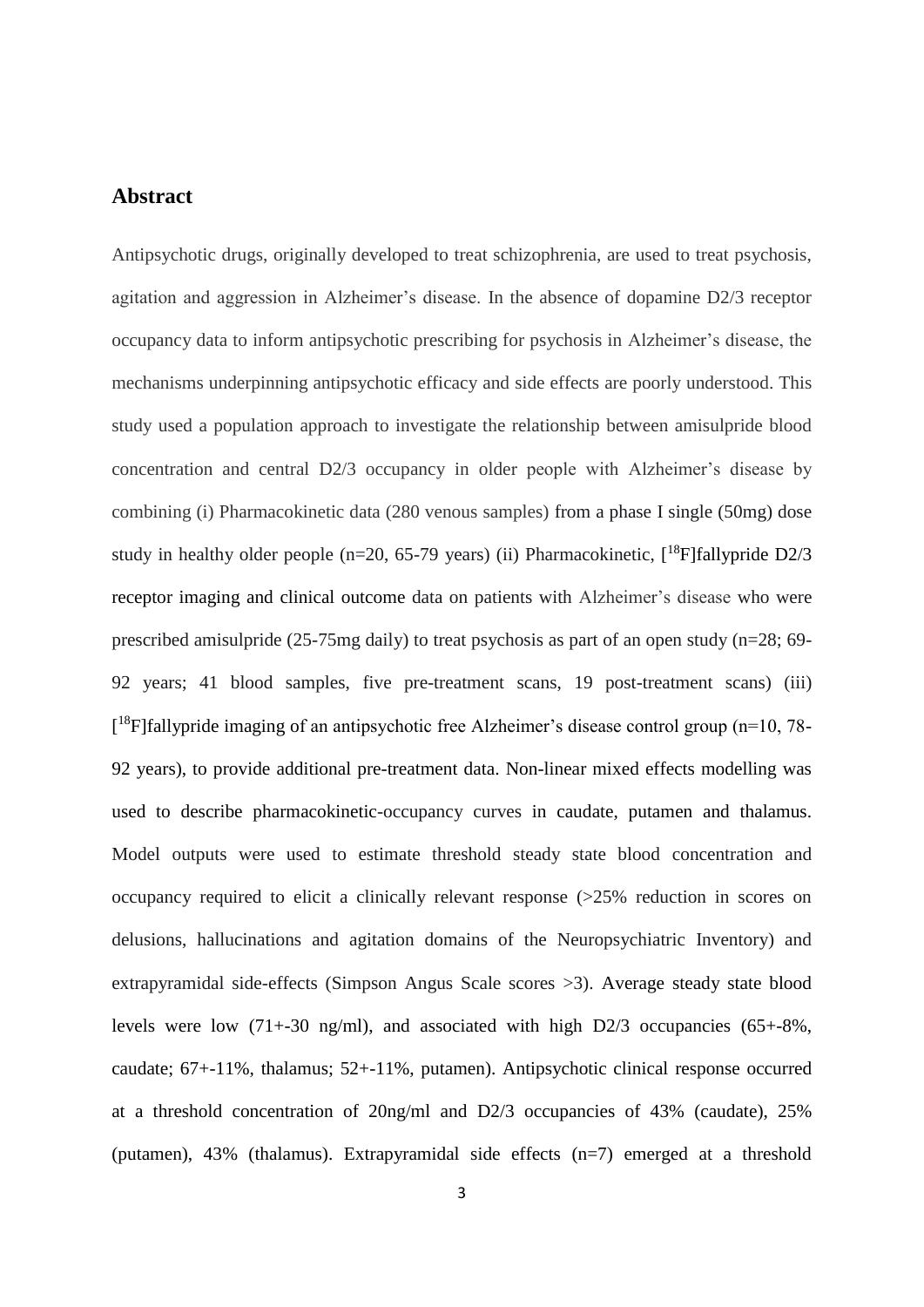## **Abstract**

Antipsychotic drugs, originally developed to treat schizophrenia, are used to treat psychosis, agitation and aggression in Alzheimer's disease. In the absence of dopamine D2/3 receptor occupancy data to inform antipsychotic prescribing for psychosis in Alzheimer's disease, the mechanisms underpinning antipsychotic efficacy and side effects are poorly understood. This study used a population approach to investigate the relationship between amisulpride blood concentration and central D2/3 occupancy in older people with Alzheimer's disease by combining (i) Pharmacokinetic data (280 venous samples) from a phase I single (50mg) dose study in healthy older people (n=20, 65-79 years) (ii) Pharmacokinetic,  $[^{18}F]$ fallypride D2/3 receptor imaging and clinical outcome data on patients with Alzheimer's disease who were prescribed amisulpride (25-75mg daily) to treat psychosis as part of an open study (n=28; 69- 92 years; 41 blood samples, five pre-treatment scans, 19 post-treatment scans) (iii) [<sup>18</sup>F]fallypride imaging of an antipsychotic free Alzheimer's disease control group (n=10, 78-92 years), to provide additional pre-treatment data. Non-linear mixed effects modelling was used to describe pharmacokinetic-occupancy curves in caudate, putamen and thalamus. Model outputs were used to estimate threshold steady state blood concentration and occupancy required to elicit a clinically relevant response (>25% reduction in scores on delusions, hallucinations and agitation domains of the Neuropsychiatric Inventory) and extrapyramidal side-effects (Simpson Angus Scale scores >3). Average steady state blood levels were low (71+-30 ng/ml), and associated with high D2/3 occupancies (65+-8%, caudate; 67+-11%, thalamus; 52+-11%, putamen). Antipsychotic clinical response occurred at a threshold concentration of 20ng/ml and D2/3 occupancies of 43% (caudate), 25% (putamen), 43% (thalamus). Extrapyramidal side effects (n=7) emerged at a threshold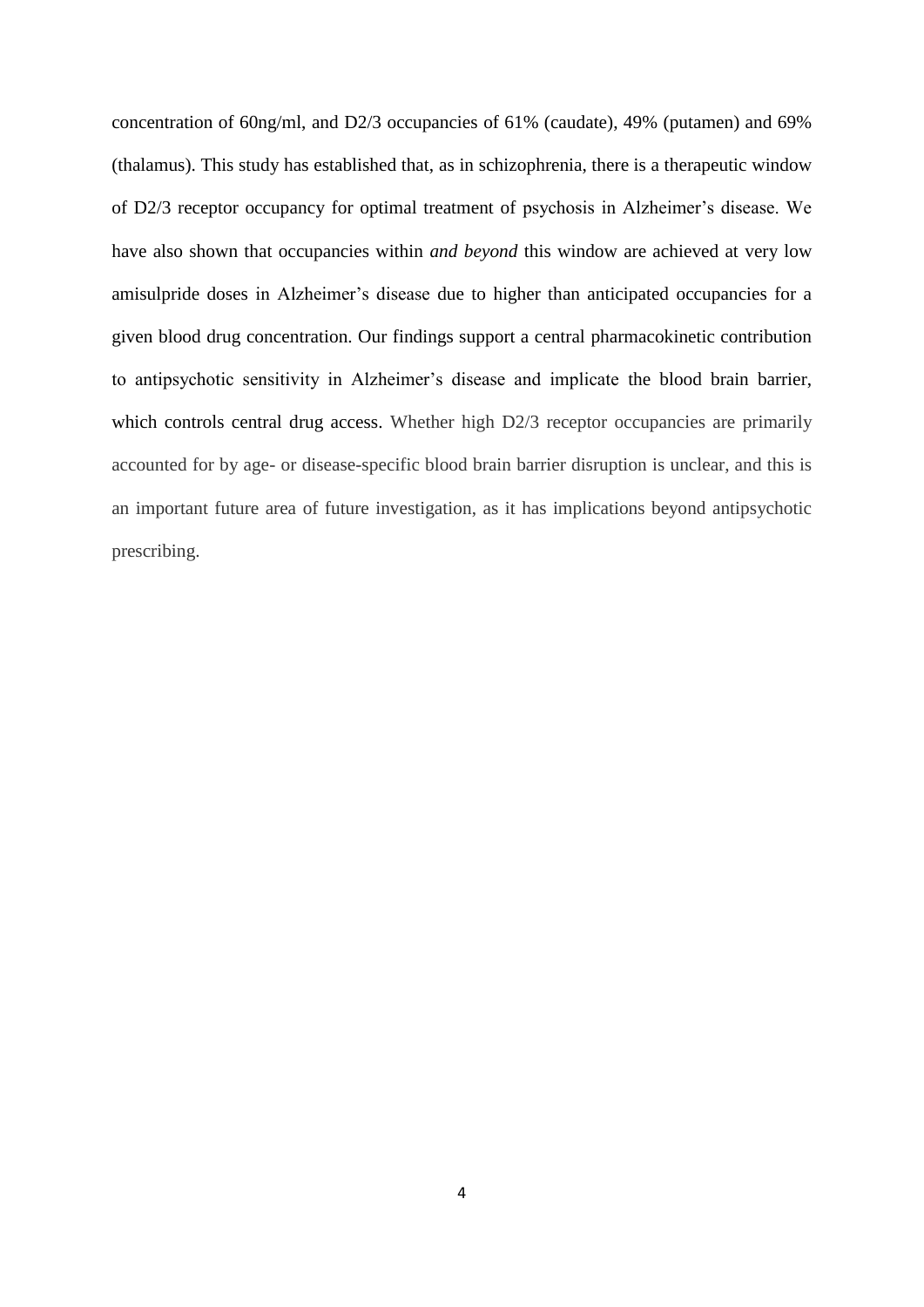concentration of 60ng/ml, and D2/3 occupancies of 61% (caudate), 49% (putamen) and 69% (thalamus). This study has established that, as in schizophrenia, there is a therapeutic window of D2/3 receptor occupancy for optimal treatment of psychosis in Alzheimer's disease. We have also shown that occupancies within *and beyond* this window are achieved at very low amisulpride doses in Alzheimer's disease due to higher than anticipated occupancies for a given blood drug concentration. Our findings support a central pharmacokinetic contribution to antipsychotic sensitivity in Alzheimer's disease and implicate the blood brain barrier, which controls central drug access. Whether high D2/3 receptor occupancies are primarily accounted for by age- or disease-specific blood brain barrier disruption is unclear, and this is an important future area of future investigation, as it has implications beyond antipsychotic prescribing.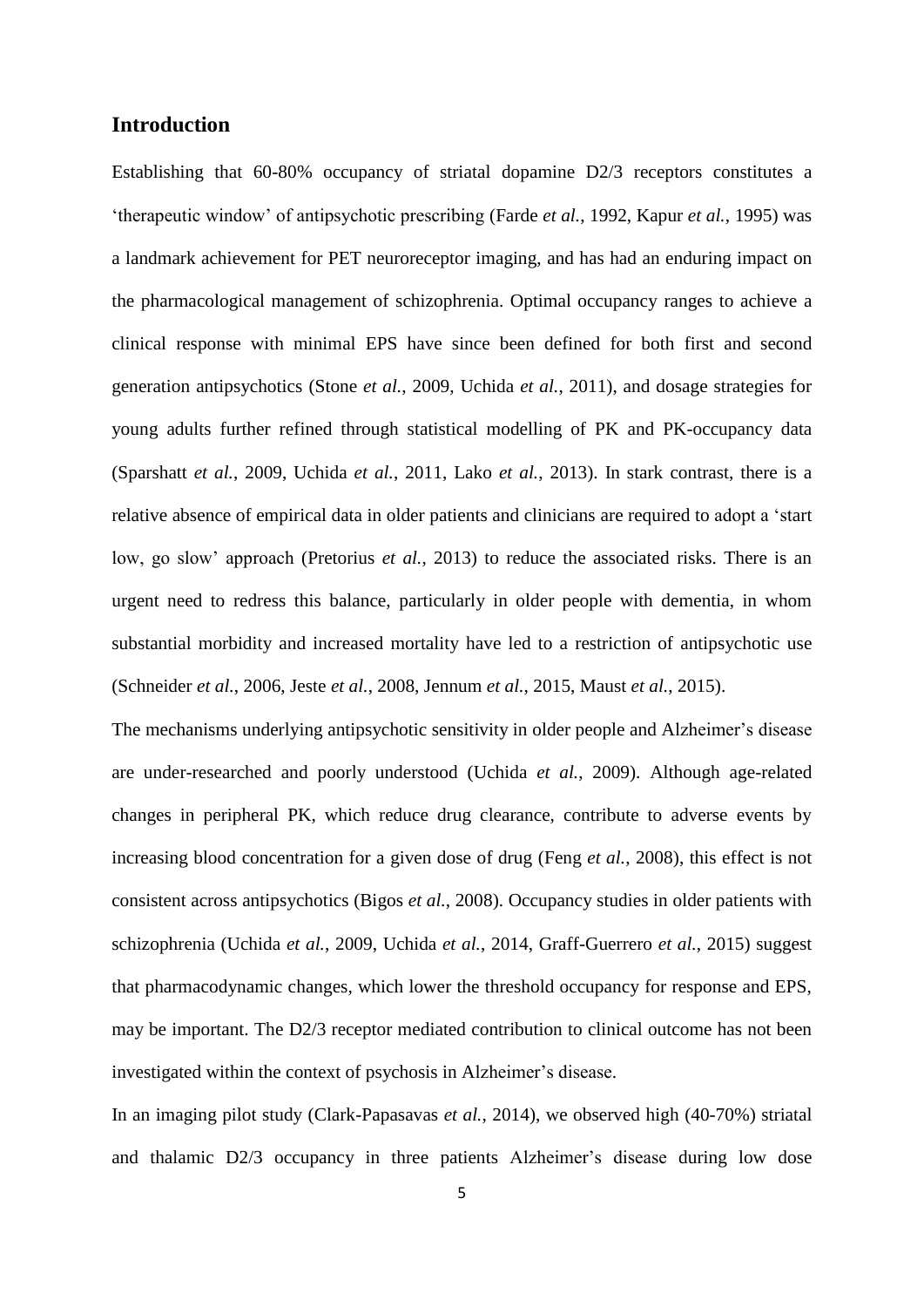#### **Introduction**

Establishing that 60-80% occupancy of striatal dopamine D2/3 receptors constitutes a 'therapeutic window' of antipsychotic prescribing (Farde *et al.*, 1992, Kapur *et al.*, 1995) was a landmark achievement for PET neuroreceptor imaging, and has had an enduring impact on the pharmacological management of schizophrenia. Optimal occupancy ranges to achieve a clinical response with minimal EPS have since been defined for both first and second generation antipsychotics (Stone *et al.*, 2009, Uchida *et al.*, 2011), and dosage strategies for young adults further refined through statistical modelling of PK and PK-occupancy data (Sparshatt *et al.*, 2009, Uchida *et al.*, 2011, Lako *et al.*, 2013). In stark contrast, there is a relative absence of empirical data in older patients and clinicians are required to adopt a 'start low, go slow' approach (Pretorius *et al.*, 2013) to reduce the associated risks. There is an urgent need to redress this balance, particularly in older people with dementia, in whom substantial morbidity and increased mortality have led to a restriction of antipsychotic use (Schneider *et al.*, 2006, Jeste *et al.*, 2008, Jennum *et al.*, 2015, Maust *et al.*, 2015).

The mechanisms underlying antipsychotic sensitivity in older people and Alzheimer's disease are under-researched and poorly understood (Uchida *et al.*, 2009). Although age-related changes in peripheral PK, which reduce drug clearance, contribute to adverse events by increasing blood concentration for a given dose of drug (Feng *et al.*, 2008), this effect is not consistent across antipsychotics (Bigos *et al.*, 2008). Occupancy studies in older patients with schizophrenia (Uchida *et al.*, 2009, Uchida *et al.*, 2014, Graff-Guerrero *et al.*, 2015) suggest that pharmacodynamic changes, which lower the threshold occupancy for response and EPS, may be important. The D2/3 receptor mediated contribution to clinical outcome has not been investigated within the context of psychosis in Alzheimer's disease.

In an imaging pilot study (Clark-Papasavas *et al.*, 2014), we observed high (40-70%) striatal and thalamic D2/3 occupancy in three patients Alzheimer's disease during low dose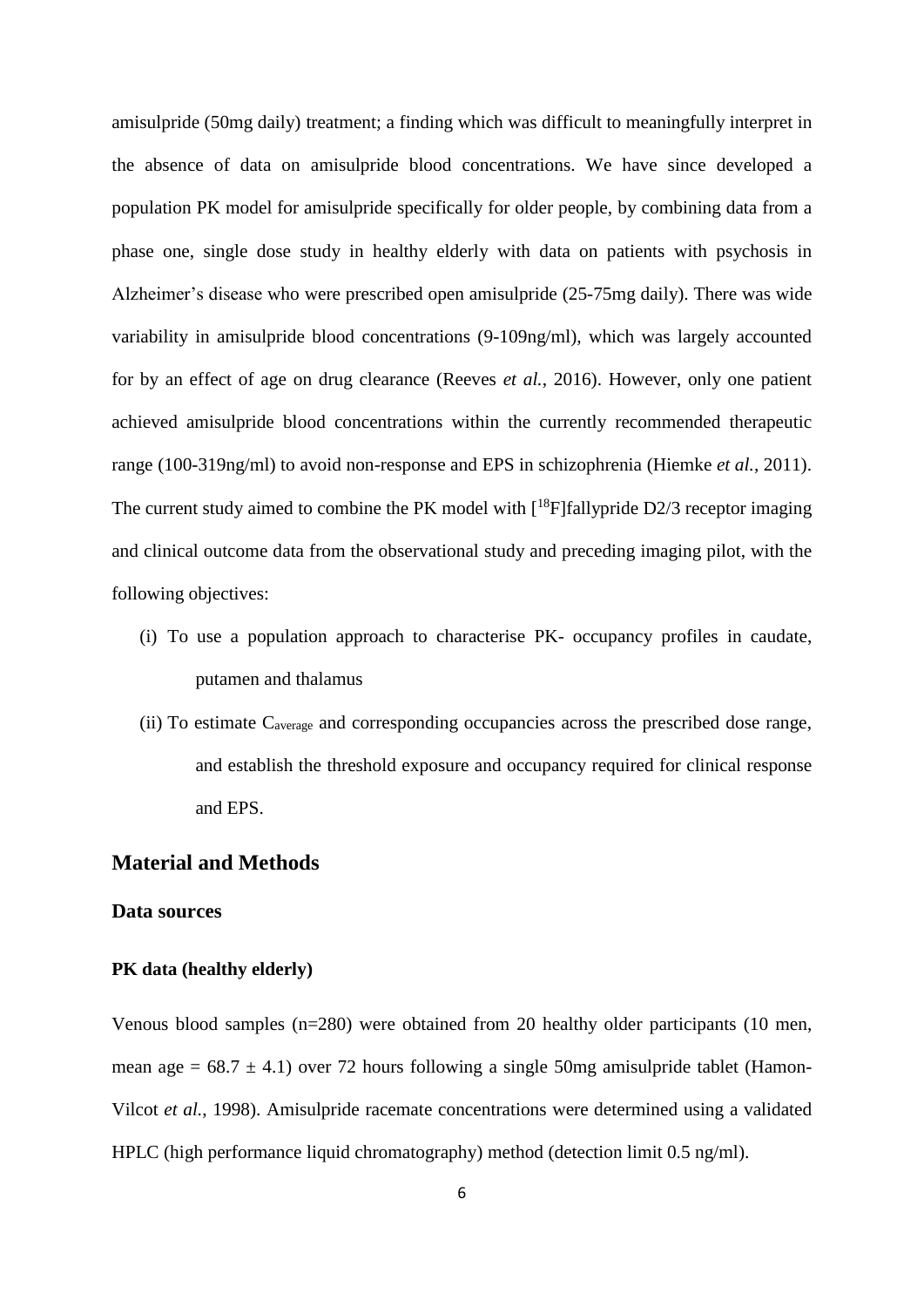amisulpride (50mg daily) treatment; a finding which was difficult to meaningfully interpret in the absence of data on amisulpride blood concentrations. We have since developed a population PK model for amisulpride specifically for older people, by combining data from a phase one, single dose study in healthy elderly with data on patients with psychosis in Alzheimer's disease who were prescribed open amisulpride (25-75mg daily). There was wide variability in amisulpride blood concentrations (9-109ng/ml), which was largely accounted for by an effect of age on drug clearance (Reeves *et al.*, 2016). However, only one patient achieved amisulpride blood concentrations within the currently recommended therapeutic range (100-319ng/ml) to avoid non-response and EPS in schizophrenia (Hiemke *et al.*, 2011). The current study aimed to combine the PK model with  $[^{18}F]$ fallypride D2/3 receptor imaging and clinical outcome data from the observational study and preceding imaging pilot, with the following objectives:

- (i) To use a population approach to characterise PK- occupancy profiles in caudate, putamen and thalamus
- (ii) To estimate Caverage and corresponding occupancies across the prescribed dose range, and establish the threshold exposure and occupancy required for clinical response and EPS.

# **Material and Methods**

#### **Data sources**

#### **PK data (healthy elderly)**

Venous blood samples (n=280) were obtained from 20 healthy older participants (10 men, mean age =  $68.7 \pm 4.1$ ) over 72 hours following a single 50mg amisulpride tablet (Hamon-Vilcot *et al.*, 1998). Amisulpride racemate concentrations were determined using a validated HPLC (high performance liquid chromatography) method (detection limit 0.5 ng/ml).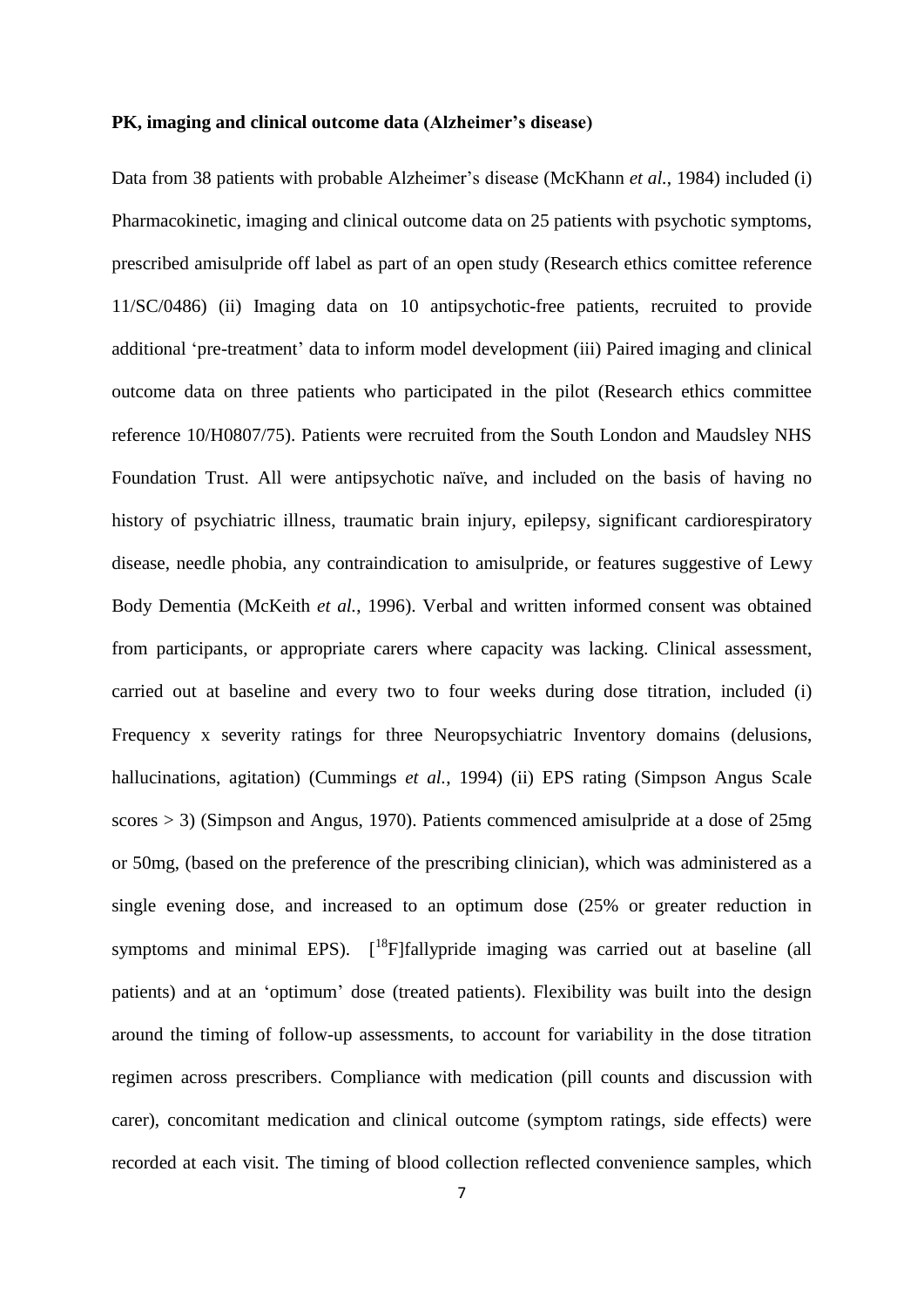#### **PK, imaging and clinical outcome data (Alzheimer's disease)**

Data from 38 patients with probable Alzheimer's disease (McKhann *et al.*, 1984) included (i) Pharmacokinetic, imaging and clinical outcome data on 25 patients with psychotic symptoms, prescribed amisulpride off label as part of an open study (Research ethics comittee reference 11/SC/0486) (ii) Imaging data on 10 antipsychotic-free patients, recruited to provide additional 'pre-treatment' data to inform model development (iii) Paired imaging and clinical outcome data on three patients who participated in the pilot (Research ethics committee reference 10/H0807/75). Patients were recruited from the South London and Maudsley NHS Foundation Trust. All were antipsychotic naïve, and included on the basis of having no history of psychiatric illness, traumatic brain injury, epilepsy, significant cardiorespiratory disease, needle phobia, any contraindication to amisulpride, or features suggestive of Lewy Body Dementia (McKeith *et al.*, 1996). Verbal and written informed consent was obtained from participants, or appropriate carers where capacity was lacking. Clinical assessment, carried out at baseline and every two to four weeks during dose titration, included (i) Frequency x severity ratings for three Neuropsychiatric Inventory domains (delusions, hallucinations, agitation) (Cummings *et al.*, 1994) (ii) EPS rating (Simpson Angus Scale scores > 3) (Simpson and Angus, 1970). Patients commenced amisulpride at a dose of 25mg or 50mg, (based on the preference of the prescribing clinician), which was administered as a single evening dose, and increased to an optimum dose (25% or greater reduction in symptoms and minimal EPS). [<sup>18</sup>F]fallypride imaging was carried out at baseline (all patients) and at an 'optimum' dose (treated patients). Flexibility was built into the design around the timing of follow-up assessments, to account for variability in the dose titration regimen across prescribers. Compliance with medication (pill counts and discussion with carer), concomitant medication and clinical outcome (symptom ratings, side effects) were recorded at each visit. The timing of blood collection reflected convenience samples, which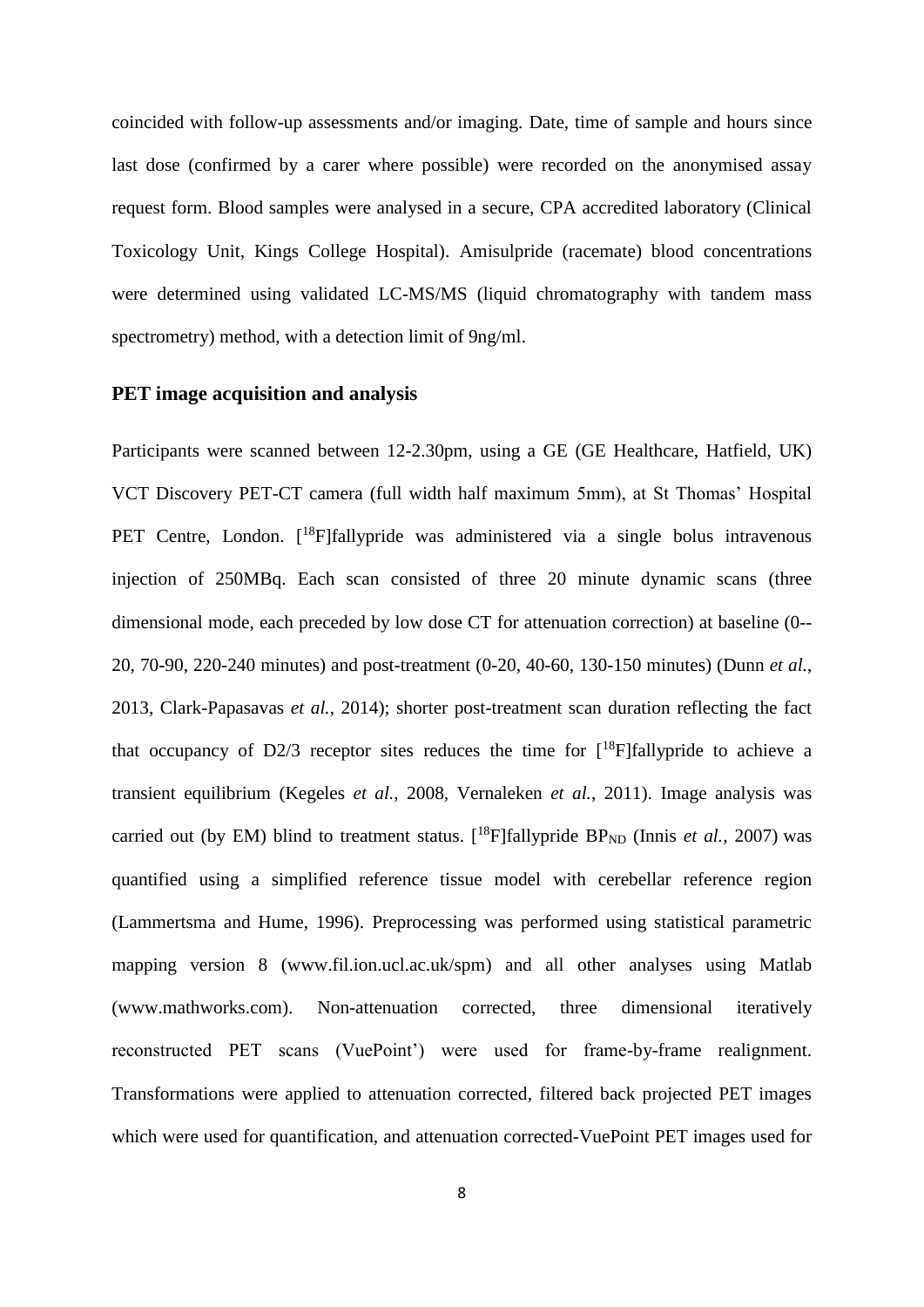coincided with follow-up assessments and/or imaging. Date, time of sample and hours since last dose (confirmed by a carer where possible) were recorded on the anonymised assay request form. Blood samples were analysed in a secure, CPA accredited laboratory (Clinical Toxicology Unit, Kings College Hospital). Amisulpride (racemate) blood concentrations were determined using validated LC-MS/MS (liquid chromatography with tandem mass spectrometry) method, with a detection limit of 9ng/ml.

#### **PET image acquisition and analysis**

Participants were scanned between 12-2.30pm, using a GE (GE Healthcare, Hatfield, UK) VCT Discovery PET-CT camera (full width half maximum 5mm), at St Thomas' Hospital PET Centre, London. [<sup>18</sup>F]fallypride was administered via a single bolus intravenous injection of 250MBq. Each scan consisted of three 20 minute dynamic scans (three dimensional mode, each preceded by low dose CT for attenuation correction) at baseline (0-- 20, 70-90, 220-240 minutes) and post-treatment (0-20, 40-60, 130-150 minutes) (Dunn *et al.*, 2013, Clark-Papasavas *et al.*, 2014); shorter post-treatment scan duration reflecting the fact that occupancy of D2/3 receptor sites reduces the time for  $\int_0^{18}$ F|fallypride to achieve a transient equilibrium (Kegeles *et al.*, 2008, Vernaleken *et al.*, 2011). Image analysis was carried out (by EM) blind to treatment status.  $[$ <sup>18</sup>F]fallypride BP<sub>ND</sub> (Innis *et al.*, 2007) was quantified using a simplified reference tissue model with cerebellar reference region (Lammertsma and Hume, 1996). Preprocessing was performed using statistical parametric mapping version 8 (www.fil.ion.ucl.ac.uk/spm) and all other analyses using Matlab (www.mathworks.com). Non-attenuation corrected, three dimensional iteratively reconstructed PET scans (VuePoint') were used for frame-by-frame realignment. Transformations were applied to attenuation corrected, filtered back projected PET images which were used for quantification, and attenuation corrected-VuePoint PET images used for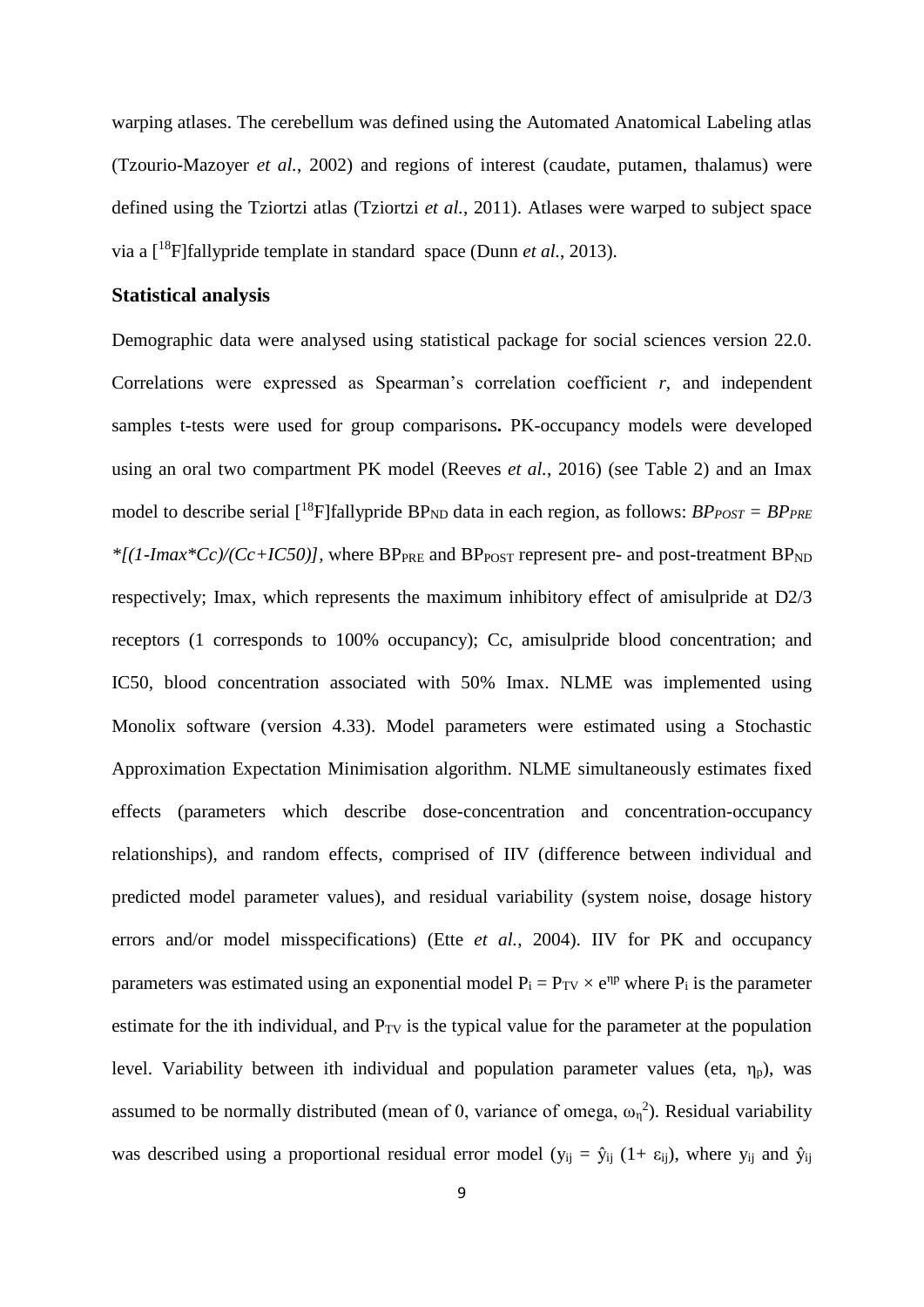warping atlases. The cerebellum was defined using the Automated Anatomical Labeling atlas (Tzourio-Mazoyer *et al.*, 2002) and regions of interest (caudate, putamen, thalamus) were defined using the Tziortzi atlas (Tziortzi *et al.*, 2011). Atlases were warped to subject space via a [ <sup>18</sup>F]fallypride template in standard space (Dunn *et al.*, 2013).

#### **Statistical analysis**

Demographic data were analysed using statistical package for social sciences version 22.0. Correlations were expressed as Spearman's correlation coefficient *r*, and independent samples t-tests were used for group comparisons**.** PK-occupancy models were developed using an oral two compartment PK model (Reeves *et al.*, 2016) (see Table 2) and an Imax model to describe serial  $\binom{18}{1}$ fallypride BP<sub>ND</sub> data in each region, as follows: *BPPOST* = *BPPRE*  $*[(1-Imax*Cc)/(Cc+IC50)]$ , where BP<sub>PRE</sub> and BP<sub>POST</sub> represent pre- and post-treatment BP<sub>ND</sub> respectively; Imax, which represents the maximum inhibitory effect of amisulpride at D2/3 receptors (1 corresponds to 100% occupancy); Cc, amisulpride blood concentration; and IC50, blood concentration associated with 50% Imax. NLME was implemented using Monolix software (version 4.33). Model parameters were estimated using a Stochastic Approximation Expectation Minimisation algorithm. NLME simultaneously estimates fixed effects (parameters which describe dose-concentration and concentration-occupancy relationships), and random effects, comprised of IIV (difference between individual and predicted model parameter values), and residual variability (system noise, dosage history errors and/or model misspecifications) (Ette *et al.*, 2004). IIV for PK and occupancy parameters was estimated using an exponential model  $P_i = P_{TV} \times e^{np}$  where  $P_i$  is the parameter estimate for the ith individual, and  $P_{TV}$  is the typical value for the parameter at the population level. Variability between ith individual and population parameter values (eta,  $\eta_p$ ), was assumed to be normally distributed (mean of 0, variance of omega,  $\omega_n^2$ ). Residual variability was described using a proportional residual error model ( $y_{ij} = \hat{y}_{ij}$  (1+  $\varepsilon_{ij}$ ), where  $y_{ij}$  and  $\hat{y}_{ij}$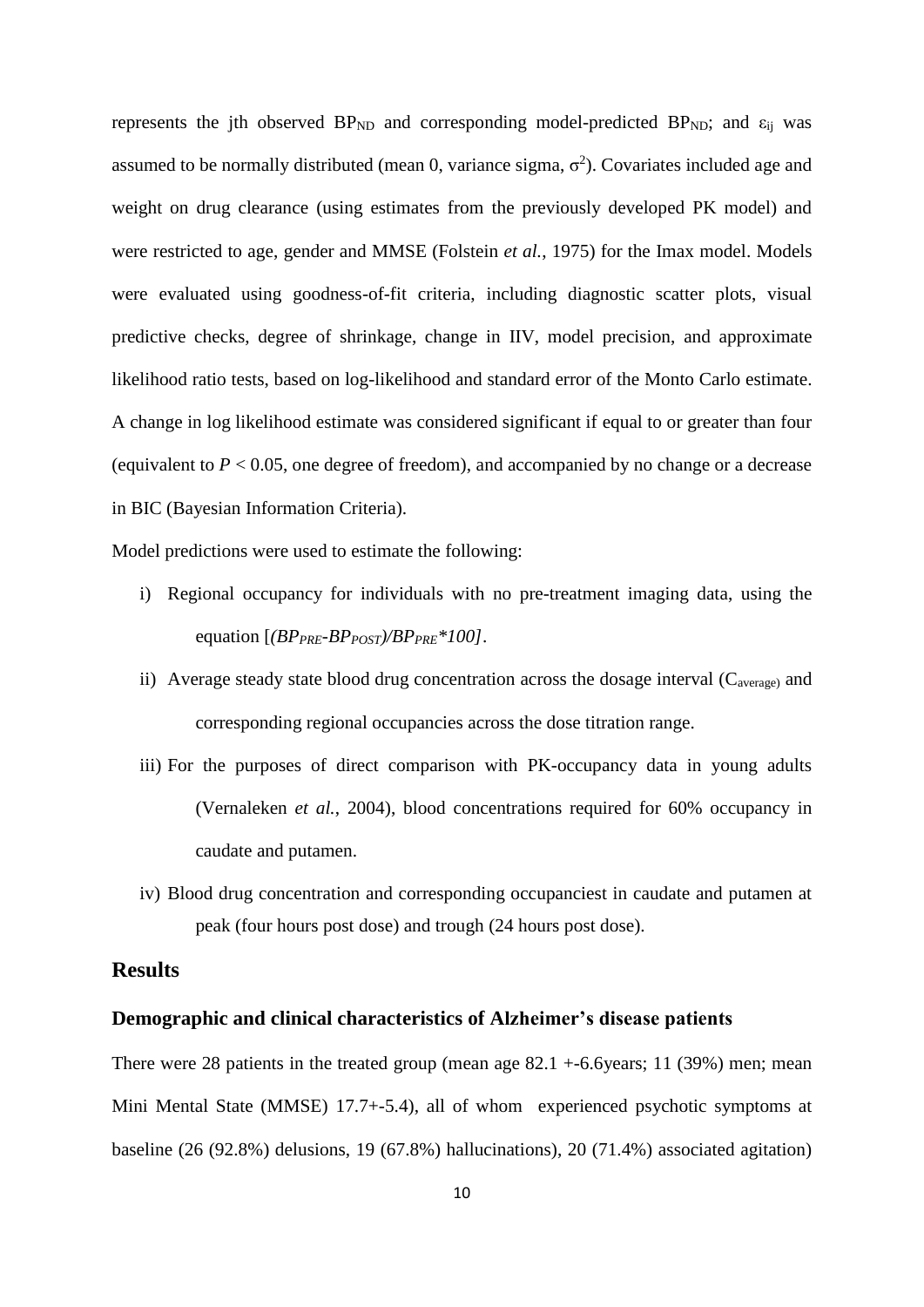represents the jth observed  $BP_{ND}$  and corresponding model-predicted  $BP_{ND}$ ; and  $\varepsilon_{ij}$  was assumed to be normally distributed (mean 0, variance sigma,  $\sigma^2$ ). Covariates included age and weight on drug clearance (using estimates from the previously developed PK model) and were restricted to age, gender and MMSE (Folstein *et al.*, 1975) for the Imax model. Models were evaluated using goodness-of-fit criteria, including diagnostic scatter plots, visual predictive checks, degree of shrinkage, change in IIV, model precision, and approximate likelihood ratio tests, based on log-likelihood and standard error of the Monto Carlo estimate. A change in log likelihood estimate was considered significant if equal to or greater than four (equivalent to  $P < 0.05$ , one degree of freedom), and accompanied by no change or a decrease in BIC (Bayesian Information Criteria).

Model predictions were used to estimate the following:

- i) Regional occupancy for individuals with no pre-treatment imaging data, using the equation [*(BPPRE-BPPOST)/BPPRE\*100]*.
- ii) Average steady state blood drug concentration across the dosage interval  $(C_{average})$  and corresponding regional occupancies across the dose titration range.
- iii) For the purposes of direct comparison with PK-occupancy data in young adults (Vernaleken *et al.*, 2004), blood concentrations required for 60% occupancy in caudate and putamen.
- iv) Blood drug concentration and corresponding occupanciest in caudate and putamen at peak (four hours post dose) and trough (24 hours post dose).

## **Results**

#### **Demographic and clinical characteristics of Alzheimer's disease patients**

There were 28 patients in the treated group (mean age  $82.1 + 6.6$ years; 11 (39%) men; mean Mini Mental State (MMSE) 17.7+-5.4), all of whom experienced psychotic symptoms at baseline (26 (92.8%) delusions, 19 (67.8%) hallucinations), 20 (71.4%) associated agitation)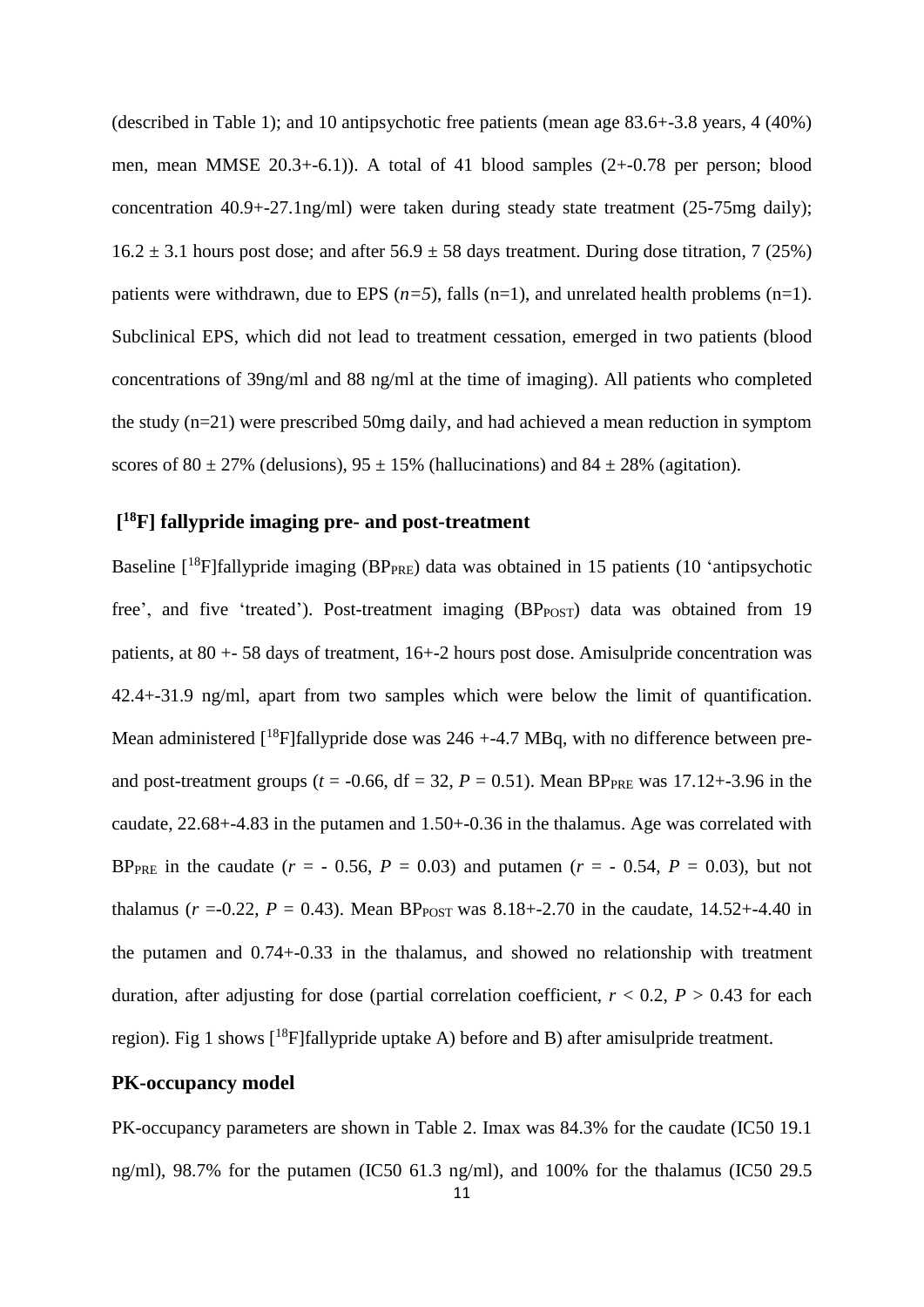(described in Table 1); and 10 antipsychotic free patients (mean age 83.6+-3.8 years, 4 (40%) men, mean MMSE 20.3+-6.1)). A total of 41 blood samples (2+-0.78 per person; blood concentration 40.9+-27.1ng/ml) were taken during steady state treatment (25-75mg daily);  $16.2 \pm 3.1$  hours post dose; and after  $56.9 \pm 58$  days treatment. During dose titration, 7 (25%) patients were withdrawn, due to EPS  $(n=5)$ , falls  $(n=1)$ , and unrelated health problems  $(n=1)$ . Subclinical EPS, which did not lead to treatment cessation, emerged in two patients (blood concentrations of 39ng/ml and 88 ng/ml at the time of imaging). All patients who completed the study (n=21) were prescribed 50mg daily, and had achieved a mean reduction in symptom scores of 80  $\pm$  27% (delusions), 95  $\pm$  15% (hallucinations) and 84  $\pm$  28% (agitation).

# **[ <sup>18</sup>F] fallypride imaging pre- and post-treatment**

Baseline [<sup>18</sup>F]fallypride imaging (BP<sub>PRE</sub>) data was obtained in 15 patients (10 'antipsychotic free', and five 'treated'). Post-treatment imaging  $(BP_{POST})$  data was obtained from 19 patients, at 80 +- 58 days of treatment, 16+-2 hours post dose. Amisulpride concentration was 42.4+-31.9 ng/ml, apart from two samples which were below the limit of quantification. Mean administered  $[18F]$ fallypride dose was 246 +-4.7 MBq, with no difference between preand post-treatment groups ( $t = -0.66$ , df = 32,  $P = 0.51$ ). Mean BP<sub>PRE</sub> was 17.12+-3.96 in the caudate, 22.68+-4.83 in the putamen and 1.50+-0.36 in the thalamus. Age was correlated with BP<sub>PRE</sub> in the caudate ( $r = -0.56$ ,  $P = 0.03$ ) and putamen ( $r = -0.54$ ,  $P = 0.03$ ), but not thalamus ( $r = 0.22$ ,  $P = 0.43$ ). Mean BP<sub>POST</sub> was 8.18+-2.70 in the caudate, 14.52+-4.40 in the putamen and 0.74+-0.33 in the thalamus, and showed no relationship with treatment duration, after adjusting for dose (partial correlation coefficient,  $r < 0.2$ ,  $P > 0.43$  for each region). Fig 1 shows  $[$ <sup>18</sup>F]fallypride uptake A) before and B) after amisulpride treatment.

## **PK-occupancy model**

PK-occupancy parameters are shown in Table 2. Imax was 84.3% for the caudate (IC50 19.1 ng/ml), 98.7% for the putamen (IC50 61.3 ng/ml), and 100% for the thalamus (IC50 29.5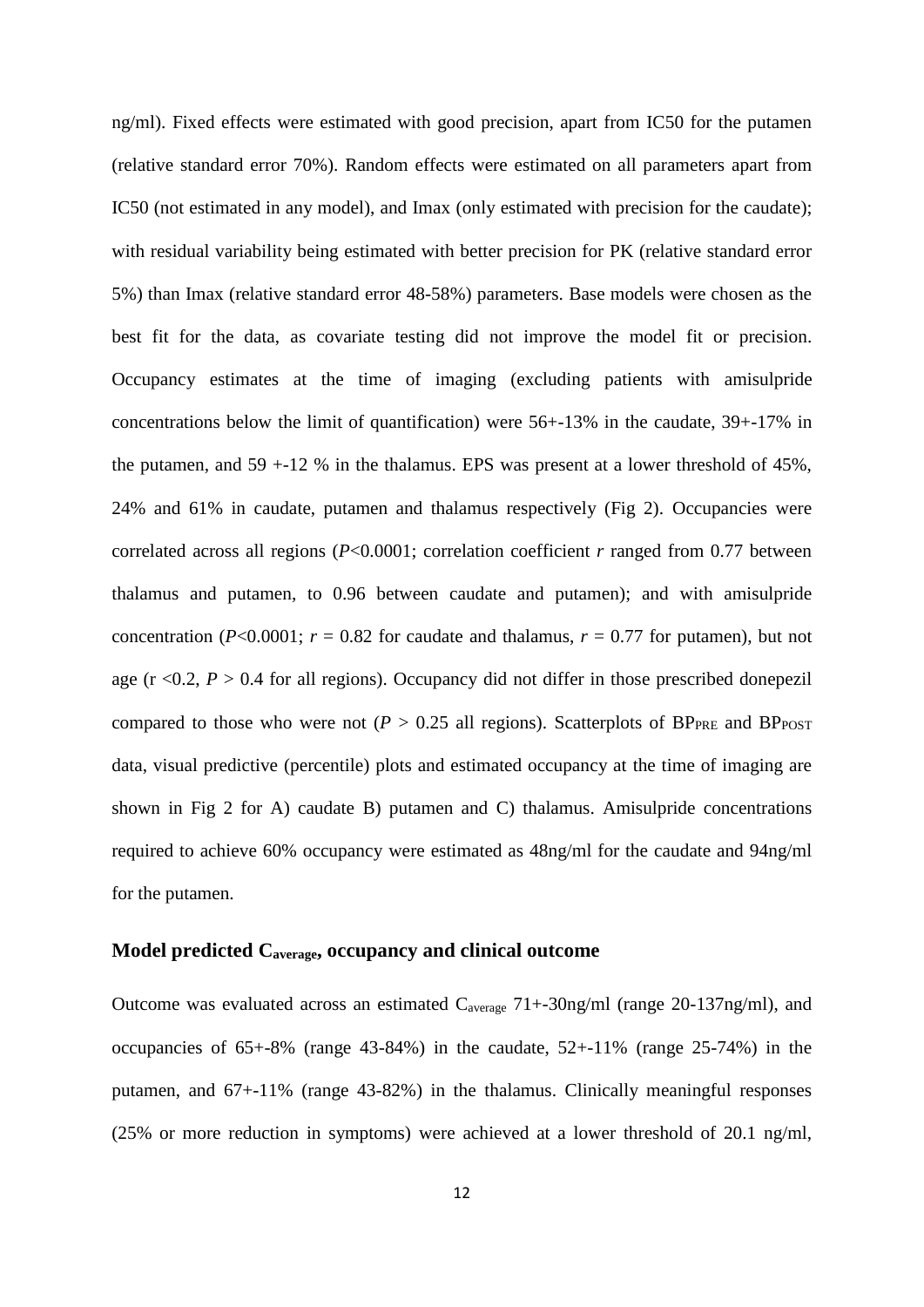ng/ml). Fixed effects were estimated with good precision, apart from IC50 for the putamen (relative standard error 70%). Random effects were estimated on all parameters apart from IC50 (not estimated in any model), and Imax (only estimated with precision for the caudate); with residual variability being estimated with better precision for PK (relative standard error 5%) than Imax (relative standard error 48-58%) parameters. Base models were chosen as the best fit for the data, as covariate testing did not improve the model fit or precision. Occupancy estimates at the time of imaging (excluding patients with amisulpride concentrations below the limit of quantification) were 56+-13% in the caudate, 39+-17% in the putamen, and  $59 + -12$  % in the thalamus. EPS was present at a lower threshold of  $45\%$ , 24% and 61% in caudate, putamen and thalamus respectively (Fig 2). Occupancies were correlated across all regions (*P*<0.0001; correlation coefficient *r* ranged from 0.77 between thalamus and putamen, to 0.96 between caudate and putamen); and with amisulpride concentration ( $P<0.0001$ ;  $r = 0.82$  for caudate and thalamus,  $r = 0.77$  for putamen), but not age ( $r < 0.2$ ,  $P > 0.4$  for all regions). Occupancy did not differ in those prescribed donepezil compared to those who were not ( $P > 0.25$  all regions). Scatterplots of BP<sub>PRE</sub> and BP<sub>POST</sub> data, visual predictive (percentile) plots and estimated occupancy at the time of imaging are shown in Fig 2 for A) caudate B) putamen and C) thalamus. Amisulpride concentrations required to achieve 60% occupancy were estimated as 48ng/ml for the caudate and 94ng/ml for the putamen.

#### **Model predicted Caverage, occupancy and clinical outcome**

Outcome was evaluated across an estimated Caverage 71+-30ng/ml (range 20-137ng/ml), and occupancies of 65+-8% (range 43-84%) in the caudate, 52+-11% (range 25-74%) in the putamen, and 67+-11% (range 43-82%) in the thalamus. Clinically meaningful responses (25% or more reduction in symptoms) were achieved at a lower threshold of 20.1 ng/ml,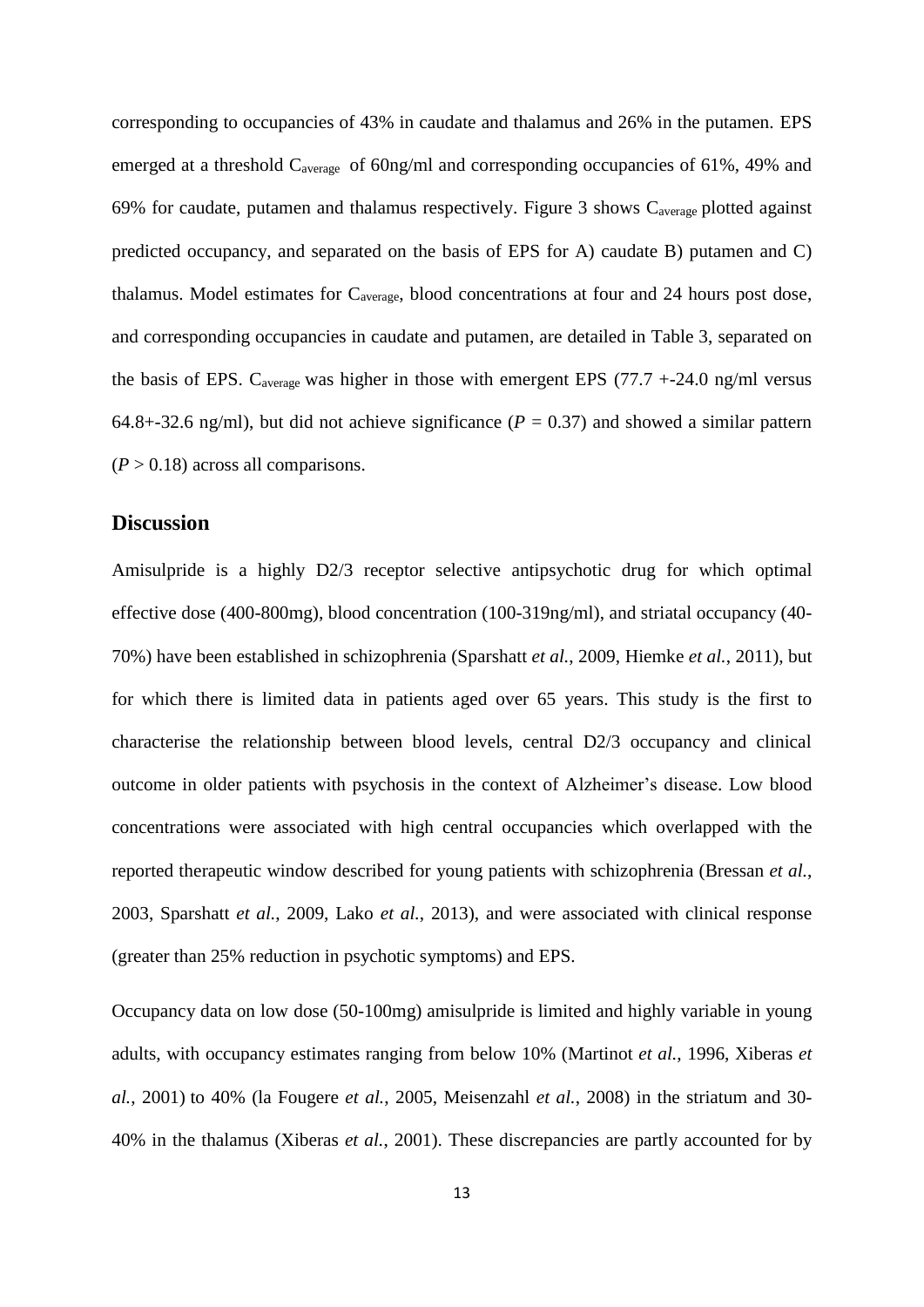corresponding to occupancies of 43% in caudate and thalamus and 26% in the putamen. EPS emerged at a threshold C<sub>average</sub> of 60ng/ml and corresponding occupancies of 61%, 49% and 69% for caudate, putamen and thalamus respectively. Figure 3 shows  $C_{average}$  plotted against predicted occupancy, and separated on the basis of EPS for A) caudate B) putamen and C) thalamus. Model estimates for Caverage, blood concentrations at four and 24 hours post dose, and corresponding occupancies in caudate and putamen, are detailed in Table 3, separated on the basis of EPS.  $C_{average}$  was higher in those with emergent EPS (77.7 +-24.0 ng/ml versus 64.8+-32.6 ng/ml), but did not achieve significance ( $P = 0.37$ ) and showed a similar pattern  $(P > 0.18)$  across all comparisons.

#### **Discussion**

Amisulpride is a highly D2/3 receptor selective antipsychotic drug for which optimal effective dose (400-800mg), blood concentration (100-319ng/ml), and striatal occupancy (40- 70%) have been established in schizophrenia (Sparshatt *et al.*, 2009, Hiemke *et al.*, 2011), but for which there is limited data in patients aged over 65 years. This study is the first to characterise the relationship between blood levels, central D2/3 occupancy and clinical outcome in older patients with psychosis in the context of Alzheimer's disease. Low blood concentrations were associated with high central occupancies which overlapped with the reported therapeutic window described for young patients with schizophrenia (Bressan *et al.*, 2003, Sparshatt *et al.*, 2009, Lako *et al.*, 2013), and were associated with clinical response (greater than 25% reduction in psychotic symptoms) and EPS.

Occupancy data on low dose (50-100mg) amisulpride is limited and highly variable in young adults, with occupancy estimates ranging from below 10% (Martinot *et al.*, 1996, Xiberas *et al.*, 2001) to 40% (la Fougere *et al.*, 2005, Meisenzahl *et al.*, 2008) in the striatum and 30- 40% in the thalamus (Xiberas *et al.*, 2001). These discrepancies are partly accounted for by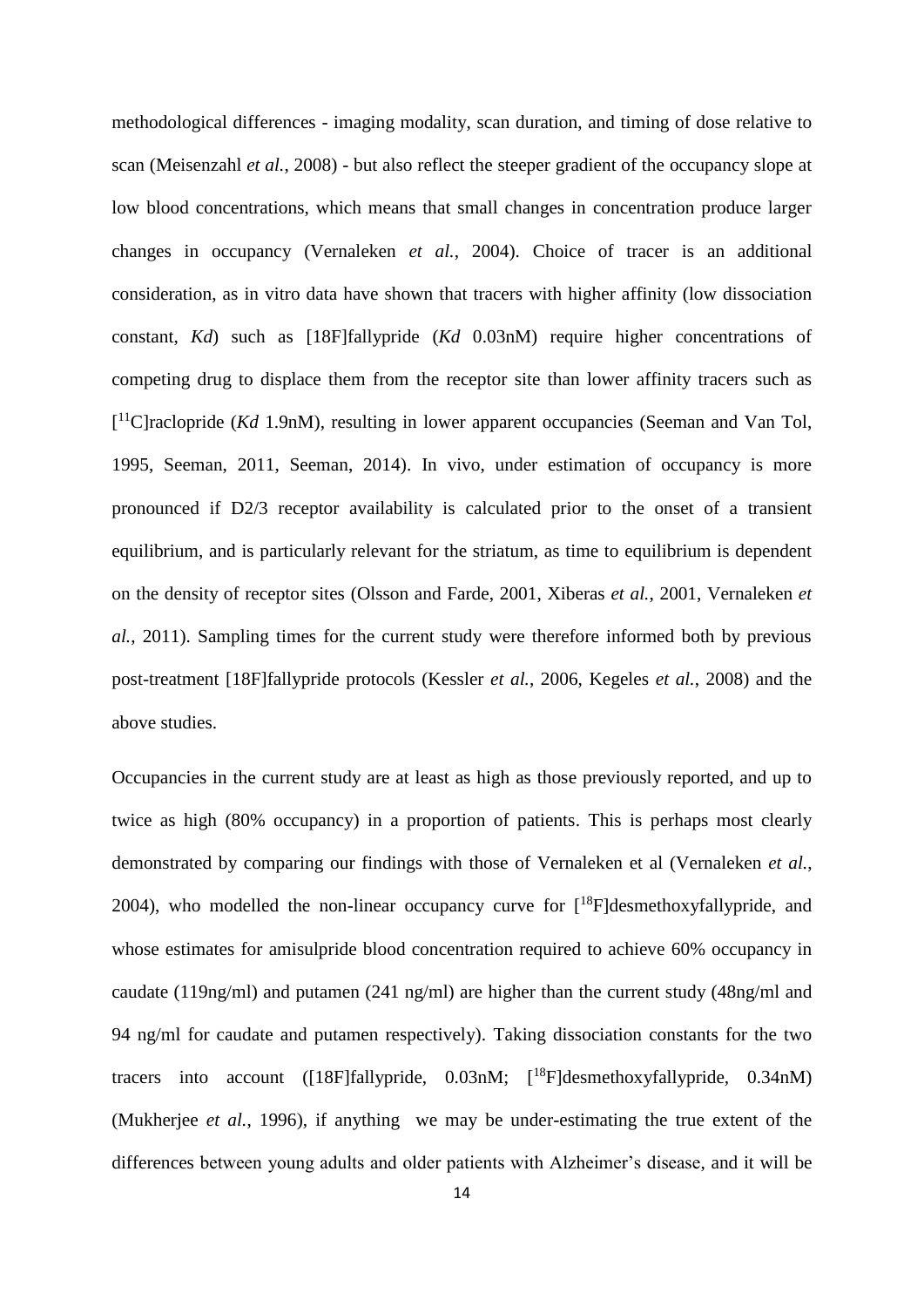methodological differences - imaging modality, scan duration, and timing of dose relative to scan (Meisenzahl *et al.*, 2008) - but also reflect the steeper gradient of the occupancy slope at low blood concentrations, which means that small changes in concentration produce larger changes in occupancy (Vernaleken *et al.*, 2004). Choice of tracer is an additional consideration, as in vitro data have shown that tracers with higher affinity (low dissociation constant, *Kd*) such as [18F]fallypride (*Kd* 0.03nM) require higher concentrations of competing drug to displace them from the receptor site than lower affinity tracers such as [<sup>11</sup>C]raclopride (*Kd* 1.9nM), resulting in lower apparent occupancies (Seeman and Van Tol, 1995, Seeman, 2011, Seeman, 2014). In vivo, under estimation of occupancy is more pronounced if D2/3 receptor availability is calculated prior to the onset of a transient equilibrium, and is particularly relevant for the striatum, as time to equilibrium is dependent on the density of receptor sites (Olsson and Farde, 2001, Xiberas *et al.*, 2001, Vernaleken *et al.*, 2011). Sampling times for the current study were therefore informed both by previous post-treatment [18F]fallypride protocols (Kessler *et al.*, 2006, Kegeles *et al.*, 2008) and the above studies.

Occupancies in the current study are at least as high as those previously reported, and up to twice as high (80% occupancy) in a proportion of patients. This is perhaps most clearly demonstrated by comparing our findings with those of Vernaleken et al (Vernaleken *et al.*, 2004), who modelled the non-linear occupancy curve for  $[18F]$ desmethoxyfallypride, and whose estimates for amisulpride blood concentration required to achieve 60% occupancy in caudate (119ng/ml) and putamen (241 ng/ml) are higher than the current study (48ng/ml and 94 ng/ml for caudate and putamen respectively). Taking dissociation constants for the two tracers into account ([18F]fallypride, 0.03nM; [ <sup>18</sup>F]desmethoxyfallypride, 0.34nM) (Mukherjee *et al.*, 1996), if anything we may be under-estimating the true extent of the differences between young adults and older patients with Alzheimer's disease, and it will be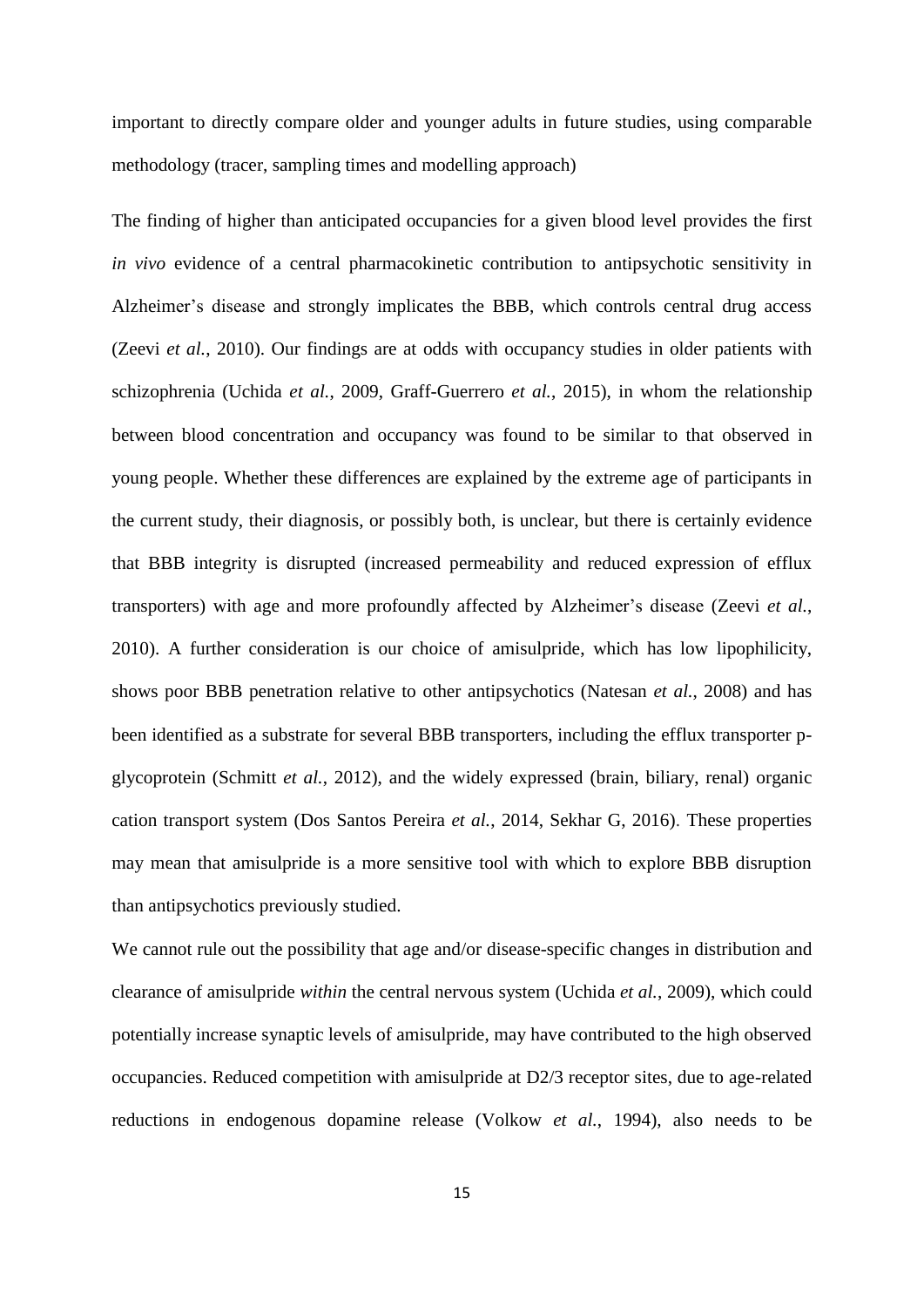important to directly compare older and younger adults in future studies, using comparable methodology (tracer, sampling times and modelling approach)

The finding of higher than anticipated occupancies for a given blood level provides the first *in vivo* evidence of a central pharmacokinetic contribution to antipsychotic sensitivity in Alzheimer's disease and strongly implicates the BBB, which controls central drug access (Zeevi *et al.*, 2010). Our findings are at odds with occupancy studies in older patients with schizophrenia (Uchida *et al.*, 2009, Graff-Guerrero *et al.*, 2015), in whom the relationship between blood concentration and occupancy was found to be similar to that observed in young people. Whether these differences are explained by the extreme age of participants in the current study, their diagnosis, or possibly both, is unclear, but there is certainly evidence that BBB integrity is disrupted (increased permeability and reduced expression of efflux transporters) with age and more profoundly affected by Alzheimer's disease (Zeevi *et al.*, 2010). A further consideration is our choice of amisulpride, which has low lipophilicity, shows poor BBB penetration relative to other antipsychotics (Natesan *et al.*, 2008) and has been identified as a substrate for several BBB transporters, including the efflux transporter pglycoprotein (Schmitt *et al.*, 2012), and the widely expressed (brain, biliary, renal) organic cation transport system (Dos Santos Pereira *et al.*, 2014, Sekhar G, 2016). These properties may mean that amisulpride is a more sensitive tool with which to explore BBB disruption than antipsychotics previously studied.

We cannot rule out the possibility that age and/or disease-specific changes in distribution and clearance of amisulpride *within* the central nervous system (Uchida *et al.*, 2009), which could potentially increase synaptic levels of amisulpride, may have contributed to the high observed occupancies. Reduced competition with amisulpride at D2/3 receptor sites, due to age-related reductions in endogenous dopamine release (Volkow *et al.*, 1994), also needs to be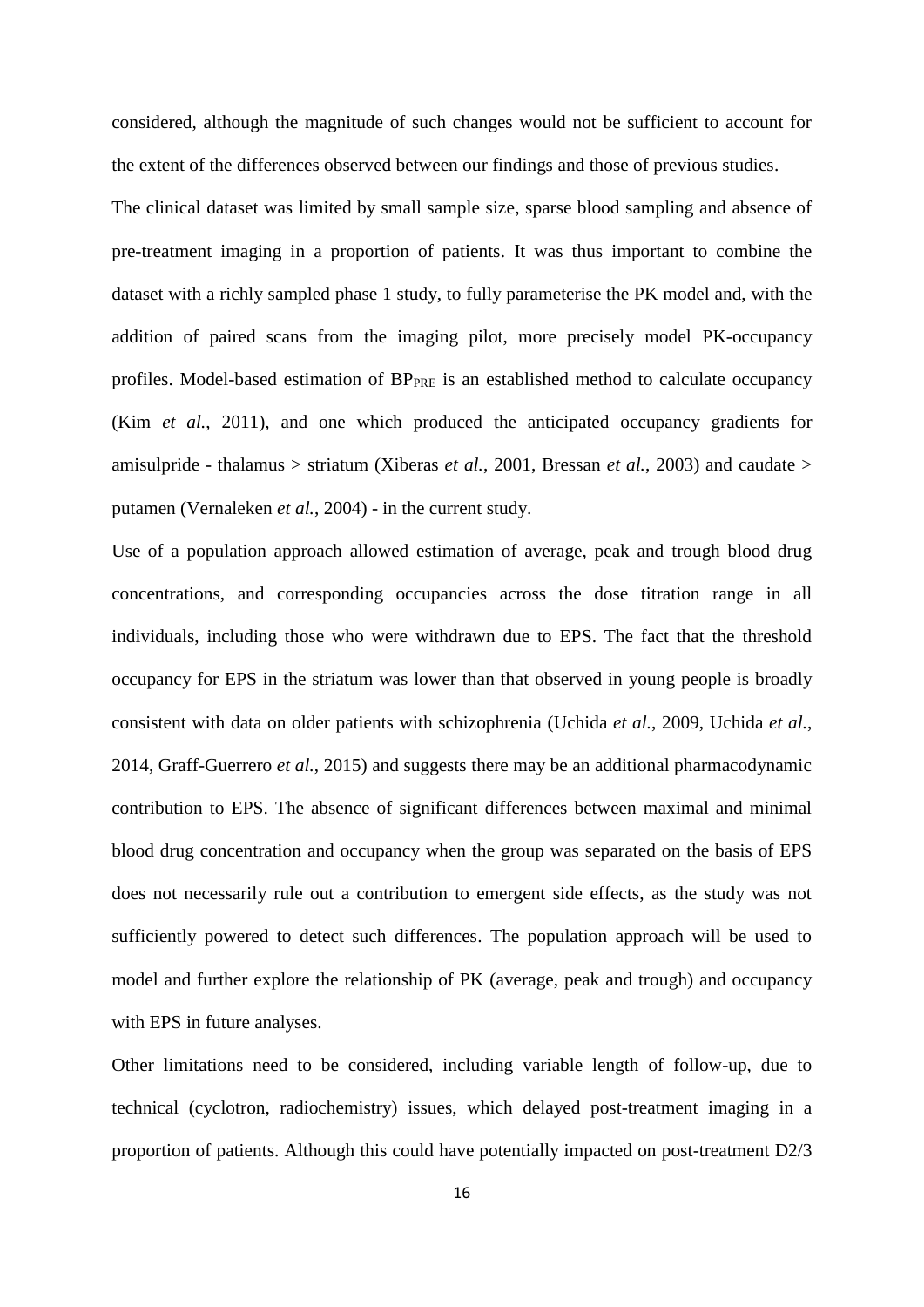considered, although the magnitude of such changes would not be sufficient to account for the extent of the differences observed between our findings and those of previous studies.

The clinical dataset was limited by small sample size, sparse blood sampling and absence of pre-treatment imaging in a proportion of patients. It was thus important to combine the dataset with a richly sampled phase 1 study, to fully parameterise the PK model and, with the addition of paired scans from the imaging pilot, more precisely model PK-occupancy profiles. Model-based estimation of BPPRE is an established method to calculate occupancy (Kim *et al.*, 2011), and one which produced the anticipated occupancy gradients for amisulpride - thalamus > striatum (Xiberas *et al.*, 2001, Bressan *et al.*, 2003) and caudate > putamen (Vernaleken *et al.*, 2004) - in the current study.

Use of a population approach allowed estimation of average, peak and trough blood drug concentrations, and corresponding occupancies across the dose titration range in all individuals, including those who were withdrawn due to EPS. The fact that the threshold occupancy for EPS in the striatum was lower than that observed in young people is broadly consistent with data on older patients with schizophrenia (Uchida *et al.*, 2009, Uchida *et al.*, 2014, Graff-Guerrero *et al.*, 2015) and suggests there may be an additional pharmacodynamic contribution to EPS. The absence of significant differences between maximal and minimal blood drug concentration and occupancy when the group was separated on the basis of EPS does not necessarily rule out a contribution to emergent side effects, as the study was not sufficiently powered to detect such differences. The population approach will be used to model and further explore the relationship of PK (average, peak and trough) and occupancy with EPS in future analyses.

Other limitations need to be considered, including variable length of follow-up, due to technical (cyclotron, radiochemistry) issues, which delayed post-treatment imaging in a proportion of patients. Although this could have potentially impacted on post-treatment D2/3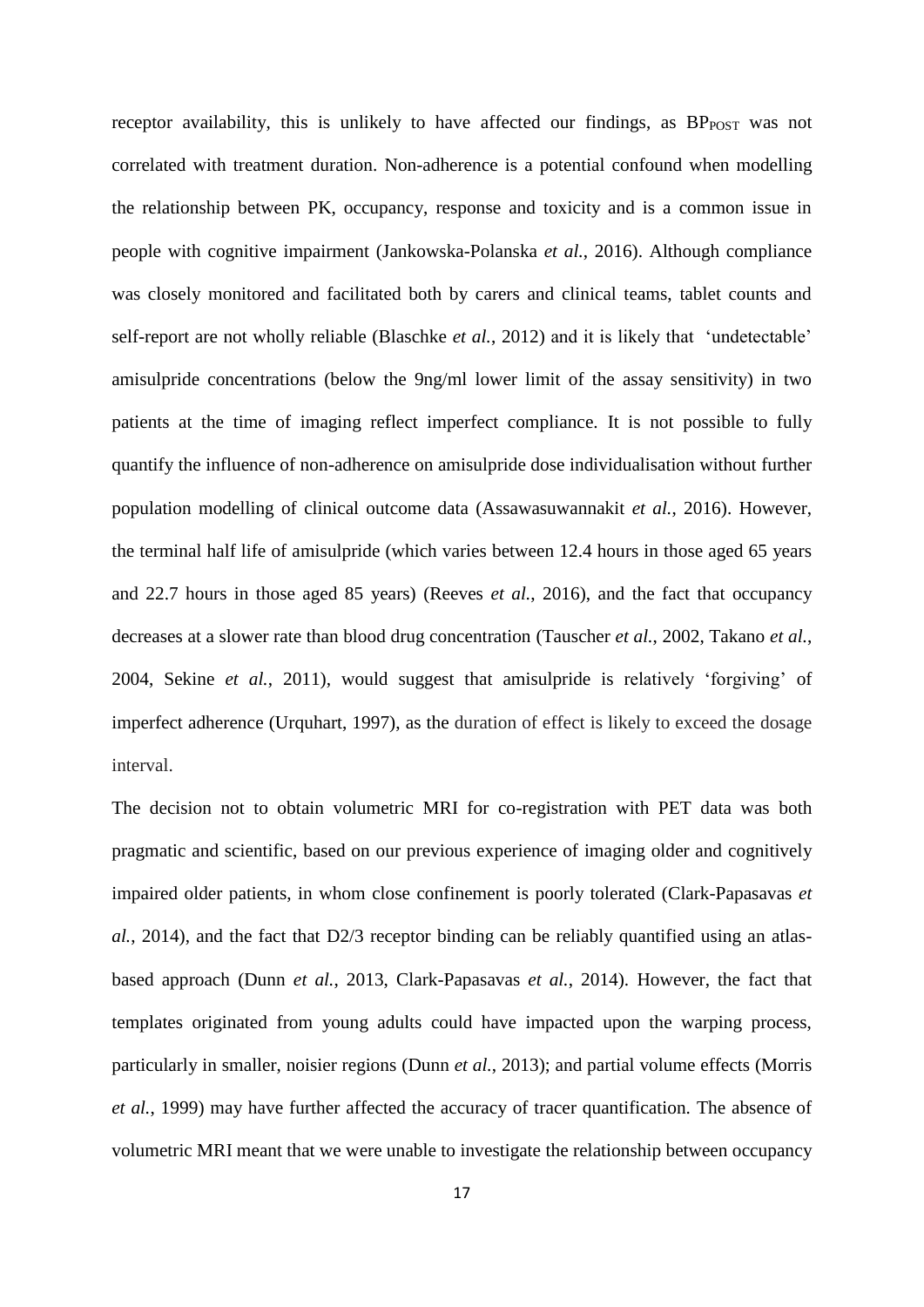receptor availability, this is unlikely to have affected our findings, as BP<sub>POST</sub> was not correlated with treatment duration. Non-adherence is a potential confound when modelling the relationship between PK, occupancy, response and toxicity and is a common issue in people with cognitive impairment (Jankowska-Polanska *et al.*, 2016). Although compliance was closely monitored and facilitated both by carers and clinical teams, tablet counts and self-report are not wholly reliable (Blaschke *et al.*, 2012) and it is likely that 'undetectable' amisulpride concentrations (below the 9ng/ml lower limit of the assay sensitivity) in two patients at the time of imaging reflect imperfect compliance. It is not possible to fully quantify the influence of non-adherence on amisulpride dose individualisation without further population modelling of clinical outcome data (Assawasuwannakit *et al.*, 2016). However, the terminal half life of amisulpride (which varies between 12.4 hours in those aged 65 years and 22.7 hours in those aged 85 years) (Reeves *et al.*, 2016), and the fact that occupancy decreases at a slower rate than blood drug concentration (Tauscher *et al.*, 2002, Takano *et al.*, 2004, Sekine *et al.*, 2011), would suggest that amisulpride is relatively 'forgiving' of imperfect adherence (Urquhart, 1997), as the duration of effect is likely to exceed the dosage interval.

The decision not to obtain volumetric MRI for co-registration with PET data was both pragmatic and scientific, based on our previous experience of imaging older and cognitively impaired older patients, in whom close confinement is poorly tolerated (Clark-Papasavas *et al.*, 2014), and the fact that D2/3 receptor binding can be reliably quantified using an atlasbased approach (Dunn *et al.*, 2013, Clark-Papasavas *et al.*, 2014). However, the fact that templates originated from young adults could have impacted upon the warping process, particularly in smaller, noisier regions (Dunn *et al.*, 2013); and partial volume effects (Morris *et al.*, 1999) may have further affected the accuracy of tracer quantification. The absence of volumetric MRI meant that we were unable to investigate the relationship between occupancy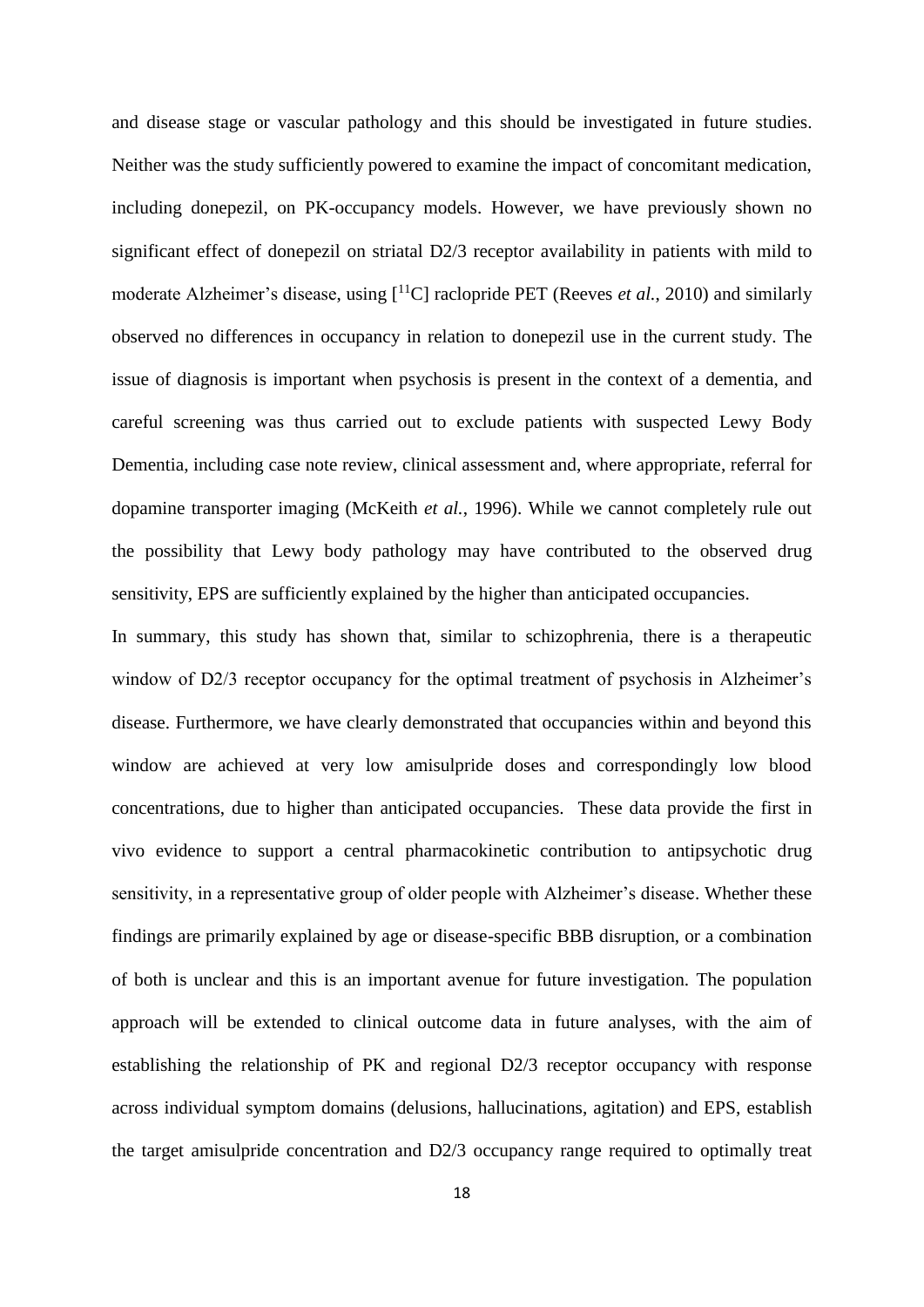and disease stage or vascular pathology and this should be investigated in future studies. Neither was the study sufficiently powered to examine the impact of concomitant medication, including donepezil, on PK-occupancy models. However, we have previously shown no significant effect of donepezil on striatal D2/3 receptor availability in patients with mild to moderate Alzheimer's disease, using [<sup>11</sup>C] raclopride PET (Reeves *et al.*, 2010) and similarly observed no differences in occupancy in relation to donepezil use in the current study. The issue of diagnosis is important when psychosis is present in the context of a dementia, and careful screening was thus carried out to exclude patients with suspected Lewy Body Dementia, including case note review, clinical assessment and, where appropriate, referral for dopamine transporter imaging (McKeith *et al.*, 1996). While we cannot completely rule out the possibility that Lewy body pathology may have contributed to the observed drug sensitivity, EPS are sufficiently explained by the higher than anticipated occupancies.

In summary, this study has shown that, similar to schizophrenia, there is a therapeutic window of D2/3 receptor occupancy for the optimal treatment of psychosis in Alzheimer's disease. Furthermore, we have clearly demonstrated that occupancies within and beyond this window are achieved at very low amisulpride doses and correspondingly low blood concentrations, due to higher than anticipated occupancies. These data provide the first in vivo evidence to support a central pharmacokinetic contribution to antipsychotic drug sensitivity, in a representative group of older people with Alzheimer's disease. Whether these findings are primarily explained by age or disease-specific BBB disruption, or a combination of both is unclear and this is an important avenue for future investigation. The population approach will be extended to clinical outcome data in future analyses, with the aim of establishing the relationship of PK and regional D2/3 receptor occupancy with response across individual symptom domains (delusions, hallucinations, agitation) and EPS, establish the target amisulpride concentration and D2/3 occupancy range required to optimally treat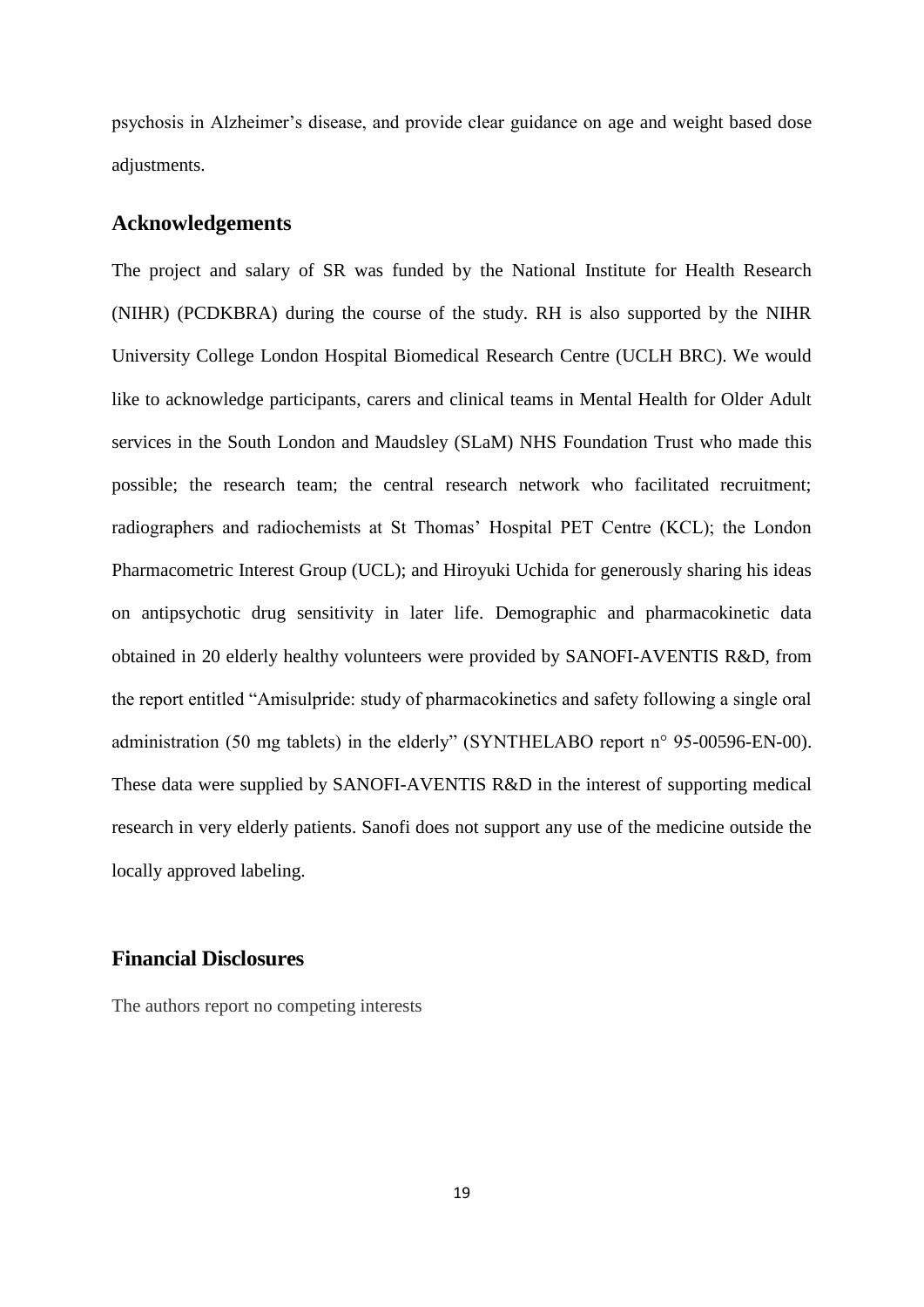psychosis in Alzheimer's disease, and provide clear guidance on age and weight based dose adjustments.

#### **Acknowledgements**

The project and salary of SR was funded by the National Institute for Health Research (NIHR) (PCDKBRA) during the course of the study. RH is also supported by the NIHR University College London Hospital Biomedical Research Centre (UCLH BRC). We would like to acknowledge participants, carers and clinical teams in Mental Health for Older Adult services in the South London and Maudsley (SLaM) NHS Foundation Trust who made this possible; the research team; the central research network who facilitated recruitment; radiographers and radiochemists at St Thomas' Hospital PET Centre (KCL); the London Pharmacometric Interest Group (UCL); and Hiroyuki Uchida for generously sharing his ideas on antipsychotic drug sensitivity in later life. Demographic and pharmacokinetic data obtained in 20 elderly healthy volunteers were provided by SANOFI-AVENTIS R&D, from the report entitled "Amisulpride: study of pharmacokinetics and safety following a single oral administration (50 mg tablets) in the elderly" (SYNTHELABO report n° 95-00596-EN-00). These data were supplied by SANOFI-AVENTIS R&D in the interest of supporting medical research in very elderly patients. Sanofi does not support any use of the medicine outside the locally approved labeling.

#### **Financial Disclosures**

The authors report no competing interests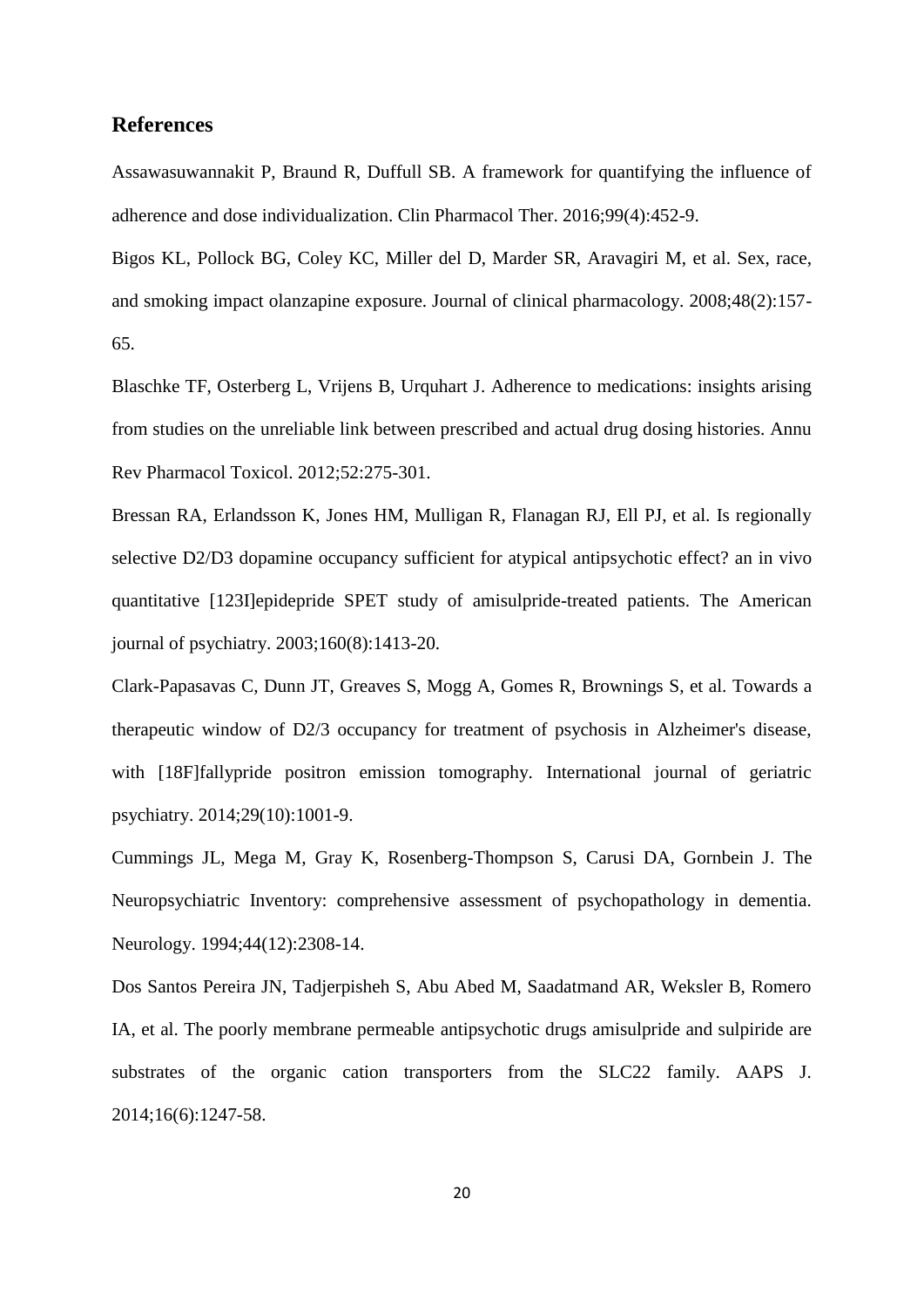## **References**

Assawasuwannakit P, Braund R, Duffull SB. A framework for quantifying the influence of adherence and dose individualization. Clin Pharmacol Ther. 2016;99(4):452-9.

Bigos KL, Pollock BG, Coley KC, Miller del D, Marder SR, Aravagiri M, et al. Sex, race, and smoking impact olanzapine exposure. Journal of clinical pharmacology. 2008;48(2):157- 65.

Blaschke TF, Osterberg L, Vrijens B, Urquhart J. Adherence to medications: insights arising from studies on the unreliable link between prescribed and actual drug dosing histories. Annu Rev Pharmacol Toxicol. 2012;52:275-301.

Bressan RA, Erlandsson K, Jones HM, Mulligan R, Flanagan RJ, Ell PJ, et al. Is regionally selective D2/D3 dopamine occupancy sufficient for atypical antipsychotic effect? an in vivo quantitative [123I]epidepride SPET study of amisulpride-treated patients. The American journal of psychiatry. 2003;160(8):1413-20.

Clark-Papasavas C, Dunn JT, Greaves S, Mogg A, Gomes R, Brownings S, et al. Towards a therapeutic window of D2/3 occupancy for treatment of psychosis in Alzheimer's disease, with [18F]fallypride positron emission tomography. International journal of geriatric psychiatry. 2014;29(10):1001-9.

Cummings JL, Mega M, Gray K, Rosenberg-Thompson S, Carusi DA, Gornbein J. The Neuropsychiatric Inventory: comprehensive assessment of psychopathology in dementia. Neurology. 1994;44(12):2308-14.

Dos Santos Pereira JN, Tadjerpisheh S, Abu Abed M, Saadatmand AR, Weksler B, Romero IA, et al. The poorly membrane permeable antipsychotic drugs amisulpride and sulpiride are substrates of the organic cation transporters from the SLC22 family. AAPS J. 2014;16(6):1247-58.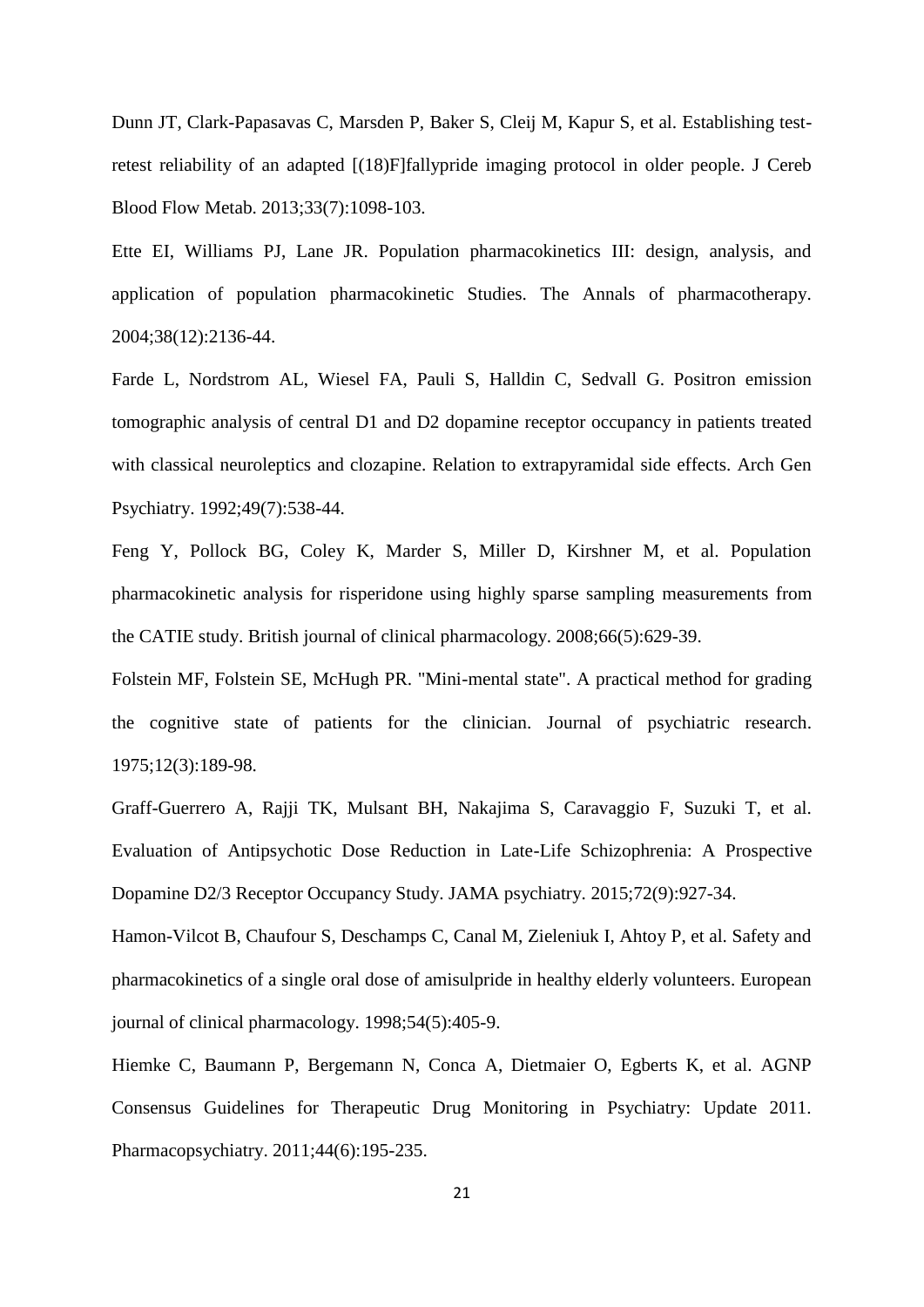Dunn JT, Clark-Papasavas C, Marsden P, Baker S, Cleij M, Kapur S, et al. Establishing testretest reliability of an adapted [(18)F]fallypride imaging protocol in older people. J Cereb Blood Flow Metab. 2013;33(7):1098-103.

Ette EI, Williams PJ, Lane JR. Population pharmacokinetics III: design, analysis, and application of population pharmacokinetic Studies. The Annals of pharmacotherapy. 2004;38(12):2136-44.

Farde L, Nordstrom AL, Wiesel FA, Pauli S, Halldin C, Sedvall G. Positron emission tomographic analysis of central D1 and D2 dopamine receptor occupancy in patients treated with classical neuroleptics and clozapine. Relation to extrapyramidal side effects. Arch Gen Psychiatry. 1992;49(7):538-44.

Feng Y, Pollock BG, Coley K, Marder S, Miller D, Kirshner M, et al. Population pharmacokinetic analysis for risperidone using highly sparse sampling measurements from the CATIE study. British journal of clinical pharmacology. 2008;66(5):629-39.

Folstein MF, Folstein SE, McHugh PR. "Mini-mental state". A practical method for grading the cognitive state of patients for the clinician. Journal of psychiatric research. 1975;12(3):189-98.

Graff-Guerrero A, Rajji TK, Mulsant BH, Nakajima S, Caravaggio F, Suzuki T, et al. Evaluation of Antipsychotic Dose Reduction in Late-Life Schizophrenia: A Prospective Dopamine D2/3 Receptor Occupancy Study. JAMA psychiatry. 2015;72(9):927-34.

Hamon-Vilcot B, Chaufour S, Deschamps C, Canal M, Zieleniuk I, Ahtoy P, et al. Safety and pharmacokinetics of a single oral dose of amisulpride in healthy elderly volunteers. European journal of clinical pharmacology. 1998;54(5):405-9.

Hiemke C, Baumann P, Bergemann N, Conca A, Dietmaier O, Egberts K, et al. AGNP Consensus Guidelines for Therapeutic Drug Monitoring in Psychiatry: Update 2011. Pharmacopsychiatry. 2011;44(6):195-235.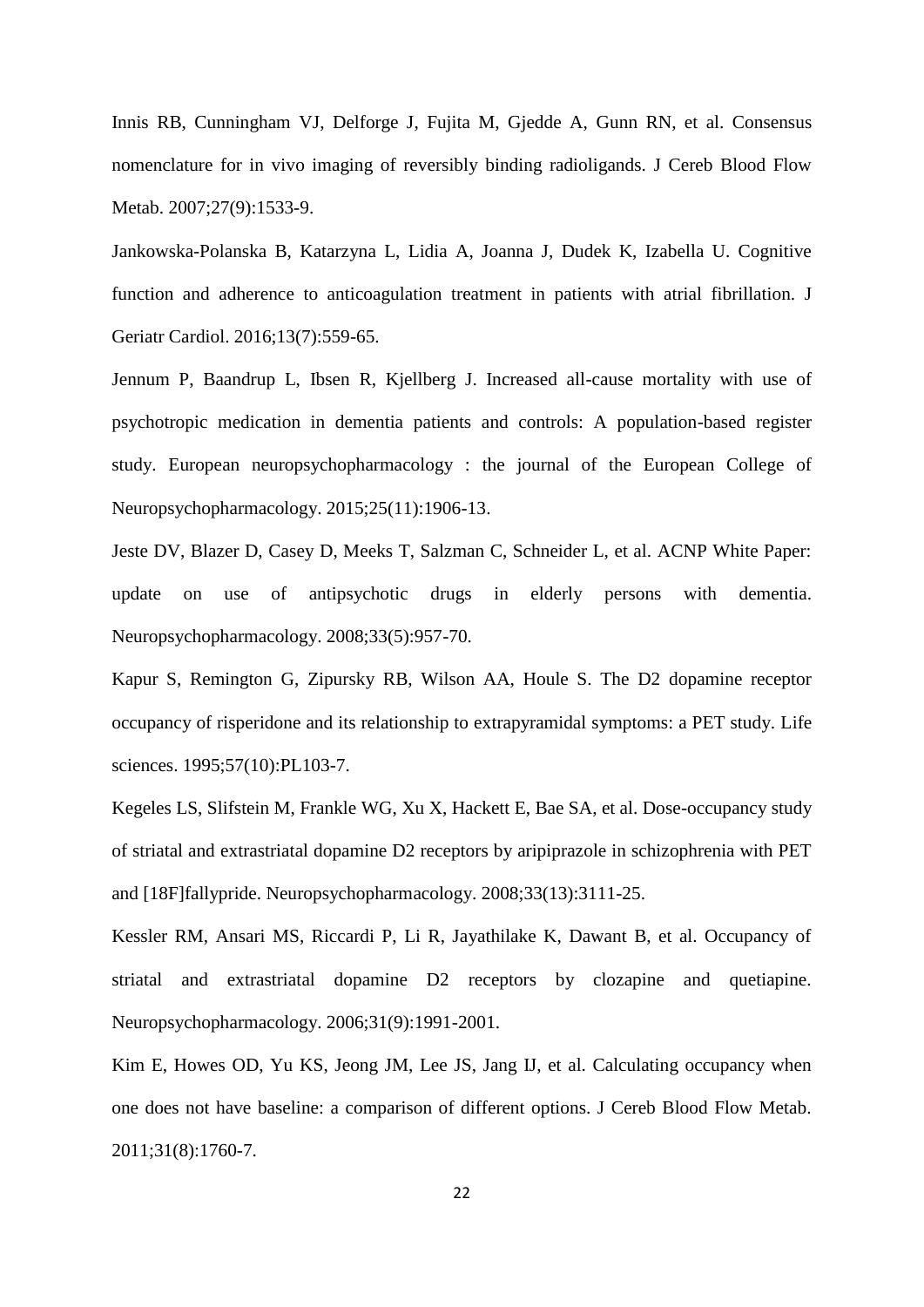Innis RB, Cunningham VJ, Delforge J, Fujita M, Gjedde A, Gunn RN, et al. Consensus nomenclature for in vivo imaging of reversibly binding radioligands. J Cereb Blood Flow Metab. 2007;27(9):1533-9.

Jankowska-Polanska B, Katarzyna L, Lidia A, Joanna J, Dudek K, Izabella U. Cognitive function and adherence to anticoagulation treatment in patients with atrial fibrillation. J Geriatr Cardiol. 2016;13(7):559-65.

Jennum P, Baandrup L, Ibsen R, Kjellberg J. Increased all-cause mortality with use of psychotropic medication in dementia patients and controls: A population-based register study. European neuropsychopharmacology : the journal of the European College of Neuropsychopharmacology. 2015;25(11):1906-13.

Jeste DV, Blazer D, Casey D, Meeks T, Salzman C, Schneider L, et al. ACNP White Paper: update on use of antipsychotic drugs in elderly persons with dementia. Neuropsychopharmacology. 2008;33(5):957-70.

Kapur S, Remington G, Zipursky RB, Wilson AA, Houle S. The D2 dopamine receptor occupancy of risperidone and its relationship to extrapyramidal symptoms: a PET study. Life sciences. 1995;57(10):PL103-7.

Kegeles LS, Slifstein M, Frankle WG, Xu X, Hackett E, Bae SA, et al. Dose-occupancy study of striatal and extrastriatal dopamine D2 receptors by aripiprazole in schizophrenia with PET and [18F]fallypride. Neuropsychopharmacology. 2008;33(13):3111-25.

Kessler RM, Ansari MS, Riccardi P, Li R, Jayathilake K, Dawant B, et al. Occupancy of striatal and extrastriatal dopamine D2 receptors by clozapine and quetiapine. Neuropsychopharmacology. 2006;31(9):1991-2001.

Kim E, Howes OD, Yu KS, Jeong JM, Lee JS, Jang IJ, et al. Calculating occupancy when one does not have baseline: a comparison of different options. J Cereb Blood Flow Metab. 2011;31(8):1760-7.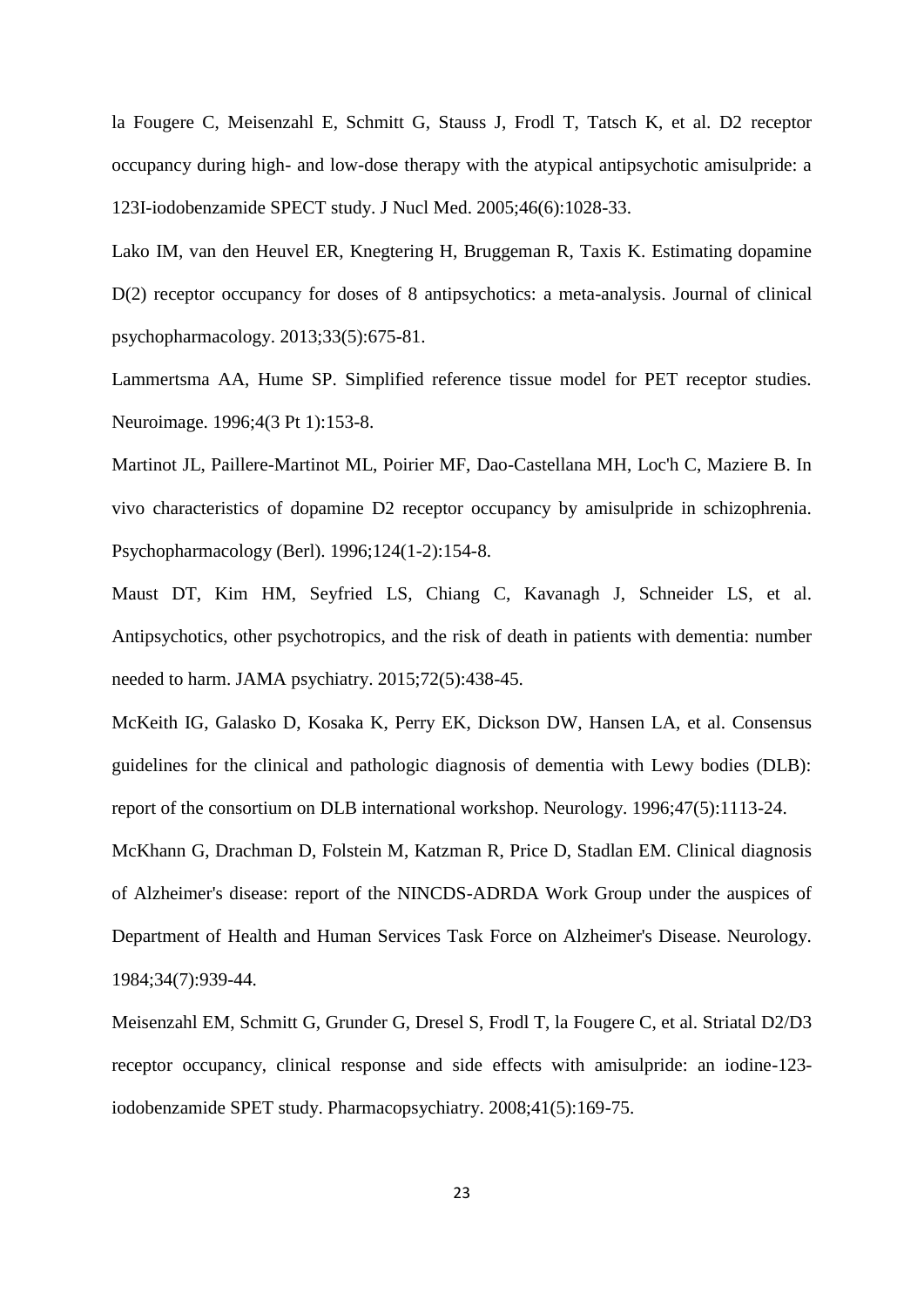la Fougere C, Meisenzahl E, Schmitt G, Stauss J, Frodl T, Tatsch K, et al. D2 receptor occupancy during high- and low-dose therapy with the atypical antipsychotic amisulpride: a 123I-iodobenzamide SPECT study. J Nucl Med. 2005;46(6):1028-33.

Lako IM, van den Heuvel ER, Knegtering H, Bruggeman R, Taxis K. Estimating dopamine D(2) receptor occupancy for doses of 8 antipsychotics: a meta-analysis. Journal of clinical psychopharmacology. 2013;33(5):675-81.

Lammertsma AA, Hume SP. Simplified reference tissue model for PET receptor studies. Neuroimage. 1996;4(3 Pt 1):153-8.

Martinot JL, Paillere-Martinot ML, Poirier MF, Dao-Castellana MH, Loc'h C, Maziere B. In vivo characteristics of dopamine D2 receptor occupancy by amisulpride in schizophrenia. Psychopharmacology (Berl). 1996;124(1-2):154-8.

Maust DT, Kim HM, Seyfried LS, Chiang C, Kavanagh J, Schneider LS, et al. Antipsychotics, other psychotropics, and the risk of death in patients with dementia: number needed to harm. JAMA psychiatry. 2015;72(5):438-45.

McKeith IG, Galasko D, Kosaka K, Perry EK, Dickson DW, Hansen LA, et al. Consensus guidelines for the clinical and pathologic diagnosis of dementia with Lewy bodies (DLB): report of the consortium on DLB international workshop. Neurology. 1996;47(5):1113-24.

McKhann G, Drachman D, Folstein M, Katzman R, Price D, Stadlan EM. Clinical diagnosis of Alzheimer's disease: report of the NINCDS-ADRDA Work Group under the auspices of Department of Health and Human Services Task Force on Alzheimer's Disease. Neurology. 1984;34(7):939-44.

Meisenzahl EM, Schmitt G, Grunder G, Dresel S, Frodl T, la Fougere C, et al. Striatal D2/D3 receptor occupancy, clinical response and side effects with amisulpride: an iodine-123 iodobenzamide SPET study. Pharmacopsychiatry. 2008;41(5):169-75.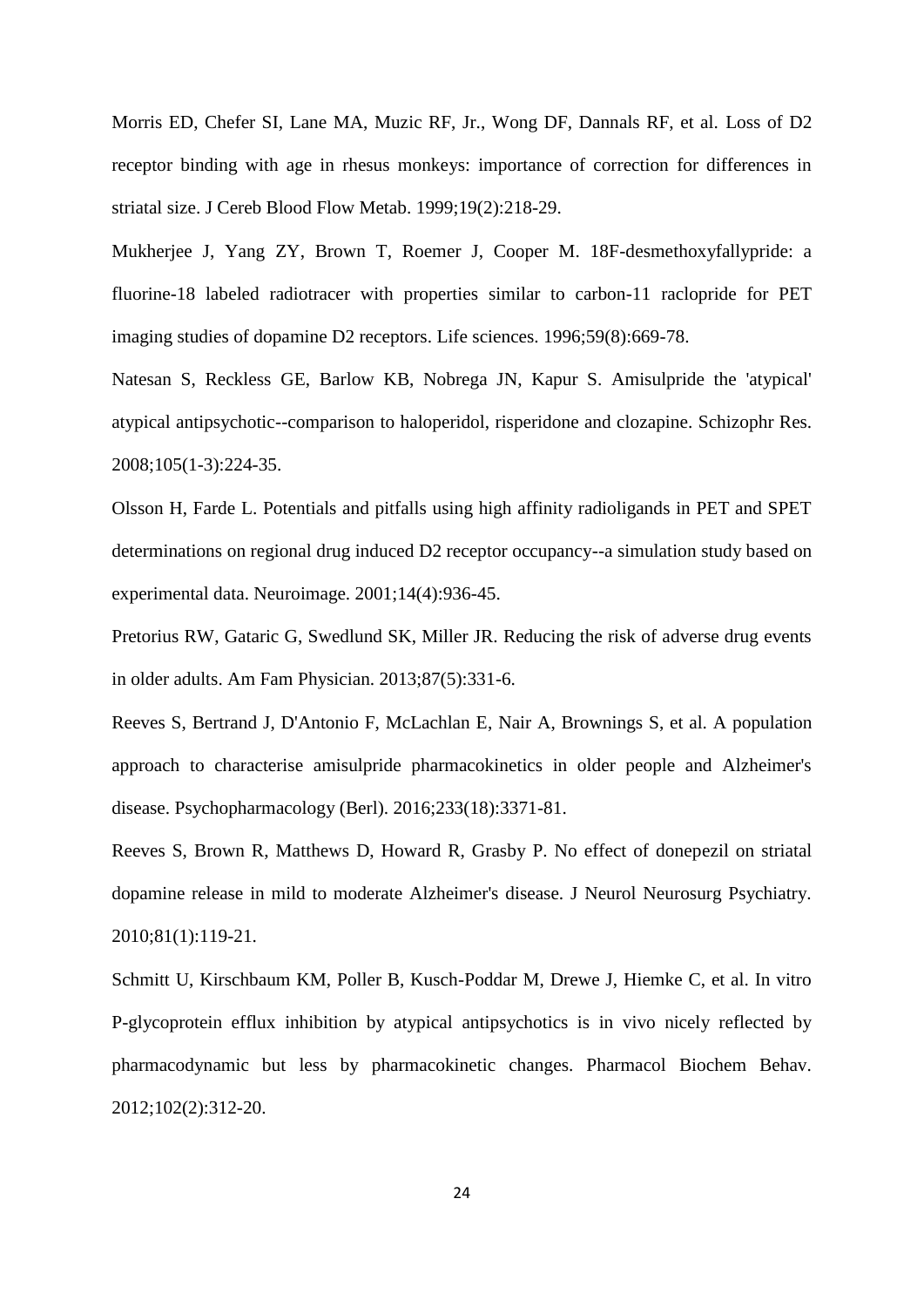Morris ED, Chefer SI, Lane MA, Muzic RF, Jr., Wong DF, Dannals RF, et al. Loss of D2 receptor binding with age in rhesus monkeys: importance of correction for differences in striatal size. J Cereb Blood Flow Metab. 1999;19(2):218-29.

Mukherjee J, Yang ZY, Brown T, Roemer J, Cooper M. 18F-desmethoxyfallypride: a fluorine-18 labeled radiotracer with properties similar to carbon-11 raclopride for PET imaging studies of dopamine D2 receptors. Life sciences. 1996;59(8):669-78.

Natesan S, Reckless GE, Barlow KB, Nobrega JN, Kapur S. Amisulpride the 'atypical' atypical antipsychotic--comparison to haloperidol, risperidone and clozapine. Schizophr Res. 2008;105(1-3):224-35.

Olsson H, Farde L. Potentials and pitfalls using high affinity radioligands in PET and SPET determinations on regional drug induced D2 receptor occupancy--a simulation study based on experimental data. Neuroimage. 2001;14(4):936-45.

Pretorius RW, Gataric G, Swedlund SK, Miller JR. Reducing the risk of adverse drug events in older adults. Am Fam Physician. 2013;87(5):331-6.

Reeves S, Bertrand J, D'Antonio F, McLachlan E, Nair A, Brownings S, et al. A population approach to characterise amisulpride pharmacokinetics in older people and Alzheimer's disease. Psychopharmacology (Berl). 2016;233(18):3371-81.

Reeves S, Brown R, Matthews D, Howard R, Grasby P. No effect of donepezil on striatal dopamine release in mild to moderate Alzheimer's disease. J Neurol Neurosurg Psychiatry. 2010;81(1):119-21.

Schmitt U, Kirschbaum KM, Poller B, Kusch-Poddar M, Drewe J, Hiemke C, et al. In vitro P-glycoprotein efflux inhibition by atypical antipsychotics is in vivo nicely reflected by pharmacodynamic but less by pharmacokinetic changes. Pharmacol Biochem Behav. 2012;102(2):312-20.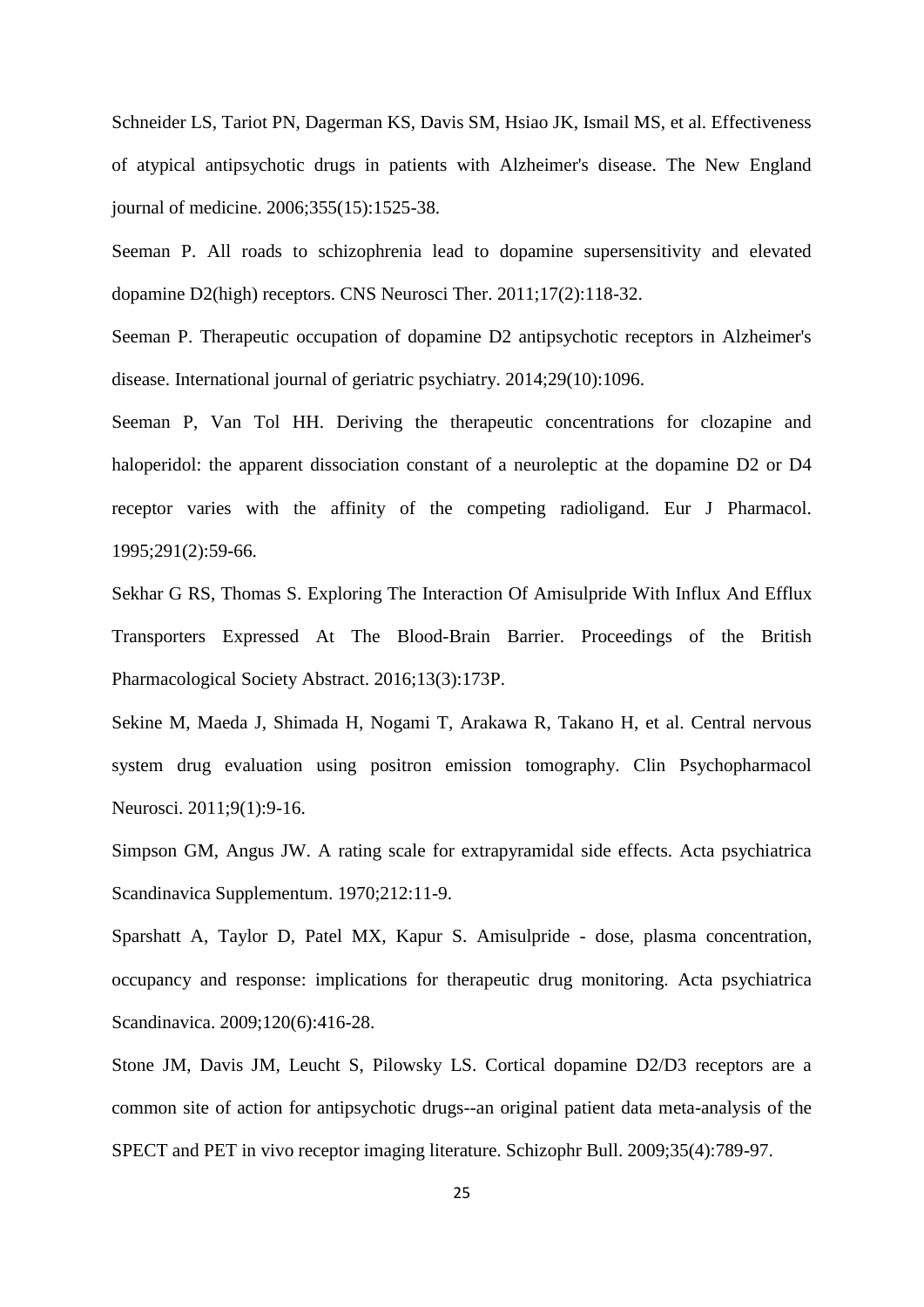Schneider LS, Tariot PN, Dagerman KS, Davis SM, Hsiao JK, Ismail MS, et al. Effectiveness of atypical antipsychotic drugs in patients with Alzheimer's disease. The New England journal of medicine. 2006;355(15):1525-38.

Seeman P. All roads to schizophrenia lead to dopamine supersensitivity and elevated dopamine D2(high) receptors. CNS Neurosci Ther. 2011;17(2):118-32.

Seeman P. Therapeutic occupation of dopamine D2 antipsychotic receptors in Alzheimer's disease. International journal of geriatric psychiatry. 2014;29(10):1096.

Seeman P, Van Tol HH. Deriving the therapeutic concentrations for clozapine and haloperidol: the apparent dissociation constant of a neuroleptic at the dopamine D2 or D4 receptor varies with the affinity of the competing radioligand. Eur J Pharmacol. 1995;291(2):59-66.

Sekhar G RS, Thomas S. Exploring The Interaction Of Amisulpride With Influx And Efflux Transporters Expressed At The Blood-Brain Barrier. Proceedings of the British Pharmacological Society Abstract. 2016;13(3):173P.

Sekine M, Maeda J, Shimada H, Nogami T, Arakawa R, Takano H, et al. Central nervous system drug evaluation using positron emission tomography. Clin Psychopharmacol Neurosci. 2011;9(1):9-16.

Simpson GM, Angus JW. A rating scale for extrapyramidal side effects. Acta psychiatrica Scandinavica Supplementum. 1970;212:11-9.

Sparshatt A, Taylor D, Patel MX, Kapur S. Amisulpride - dose, plasma concentration, occupancy and response: implications for therapeutic drug monitoring. Acta psychiatrica Scandinavica. 2009;120(6):416-28.

Stone JM, Davis JM, Leucht S, Pilowsky LS. Cortical dopamine D2/D3 receptors are a common site of action for antipsychotic drugs--an original patient data meta-analysis of the SPECT and PET in vivo receptor imaging literature. Schizophr Bull. 2009;35(4):789-97.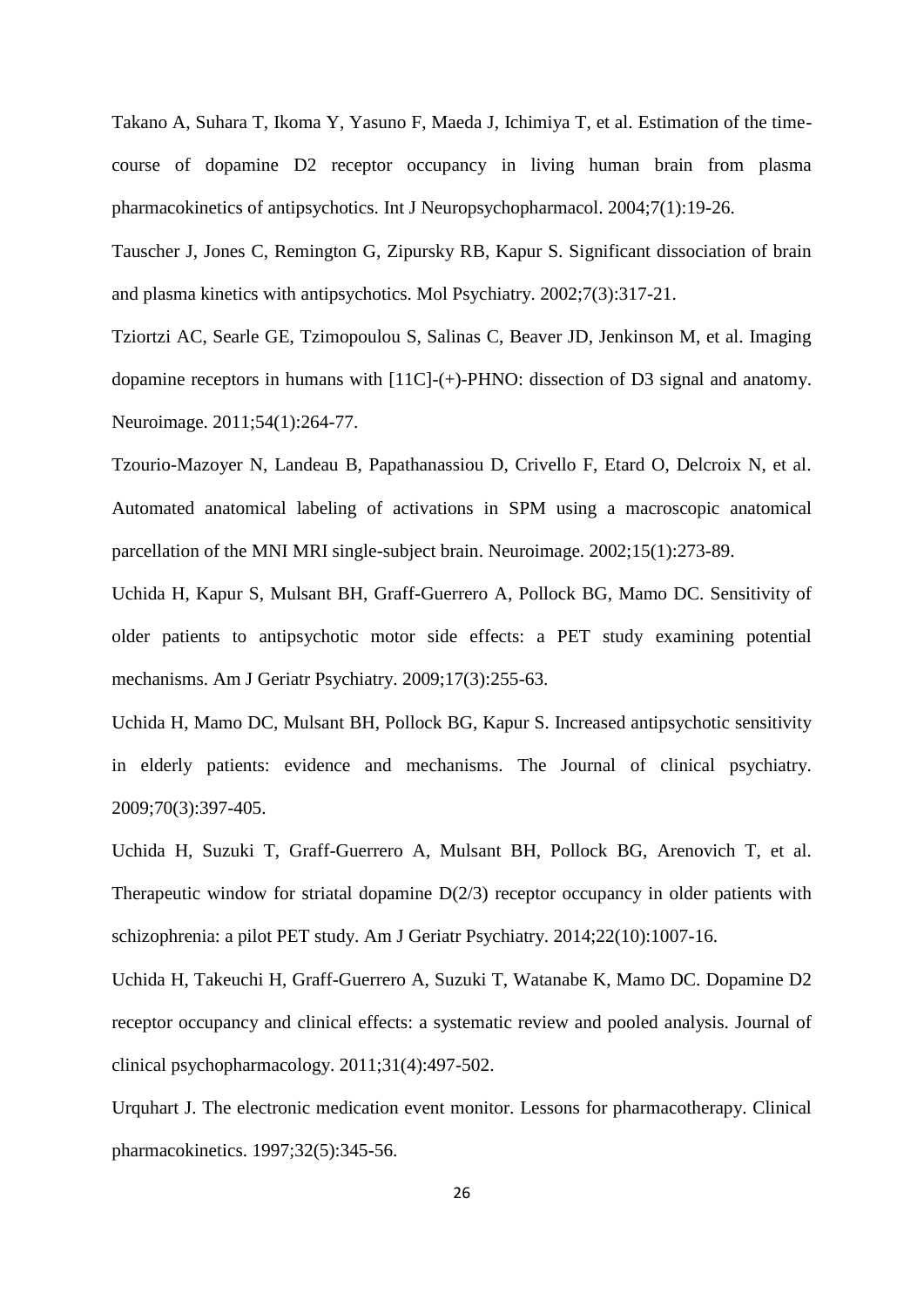Takano A, Suhara T, Ikoma Y, Yasuno F, Maeda J, Ichimiya T, et al. Estimation of the timecourse of dopamine D2 receptor occupancy in living human brain from plasma pharmacokinetics of antipsychotics. Int J Neuropsychopharmacol. 2004;7(1):19-26.

Tauscher J, Jones C, Remington G, Zipursky RB, Kapur S. Significant dissociation of brain and plasma kinetics with antipsychotics. Mol Psychiatry. 2002;7(3):317-21.

Tziortzi AC, Searle GE, Tzimopoulou S, Salinas C, Beaver JD, Jenkinson M, et al. Imaging dopamine receptors in humans with [11C]-(+)-PHNO: dissection of D3 signal and anatomy. Neuroimage. 2011;54(1):264-77.

Tzourio-Mazoyer N, Landeau B, Papathanassiou D, Crivello F, Etard O, Delcroix N, et al. Automated anatomical labeling of activations in SPM using a macroscopic anatomical parcellation of the MNI MRI single-subject brain. Neuroimage. 2002;15(1):273-89.

Uchida H, Kapur S, Mulsant BH, Graff-Guerrero A, Pollock BG, Mamo DC. Sensitivity of older patients to antipsychotic motor side effects: a PET study examining potential mechanisms. Am J Geriatr Psychiatry. 2009;17(3):255-63.

Uchida H, Mamo DC, Mulsant BH, Pollock BG, Kapur S. Increased antipsychotic sensitivity in elderly patients: evidence and mechanisms. The Journal of clinical psychiatry. 2009;70(3):397-405.

Uchida H, Suzuki T, Graff-Guerrero A, Mulsant BH, Pollock BG, Arenovich T, et al. Therapeutic window for striatal dopamine D(2/3) receptor occupancy in older patients with schizophrenia: a pilot PET study. Am J Geriatr Psychiatry. 2014;22(10):1007-16.

Uchida H, Takeuchi H, Graff-Guerrero A, Suzuki T, Watanabe K, Mamo DC. Dopamine D2 receptor occupancy and clinical effects: a systematic review and pooled analysis. Journal of clinical psychopharmacology. 2011;31(4):497-502.

Urquhart J. The electronic medication event monitor. Lessons for pharmacotherapy. Clinical pharmacokinetics. 1997;32(5):345-56.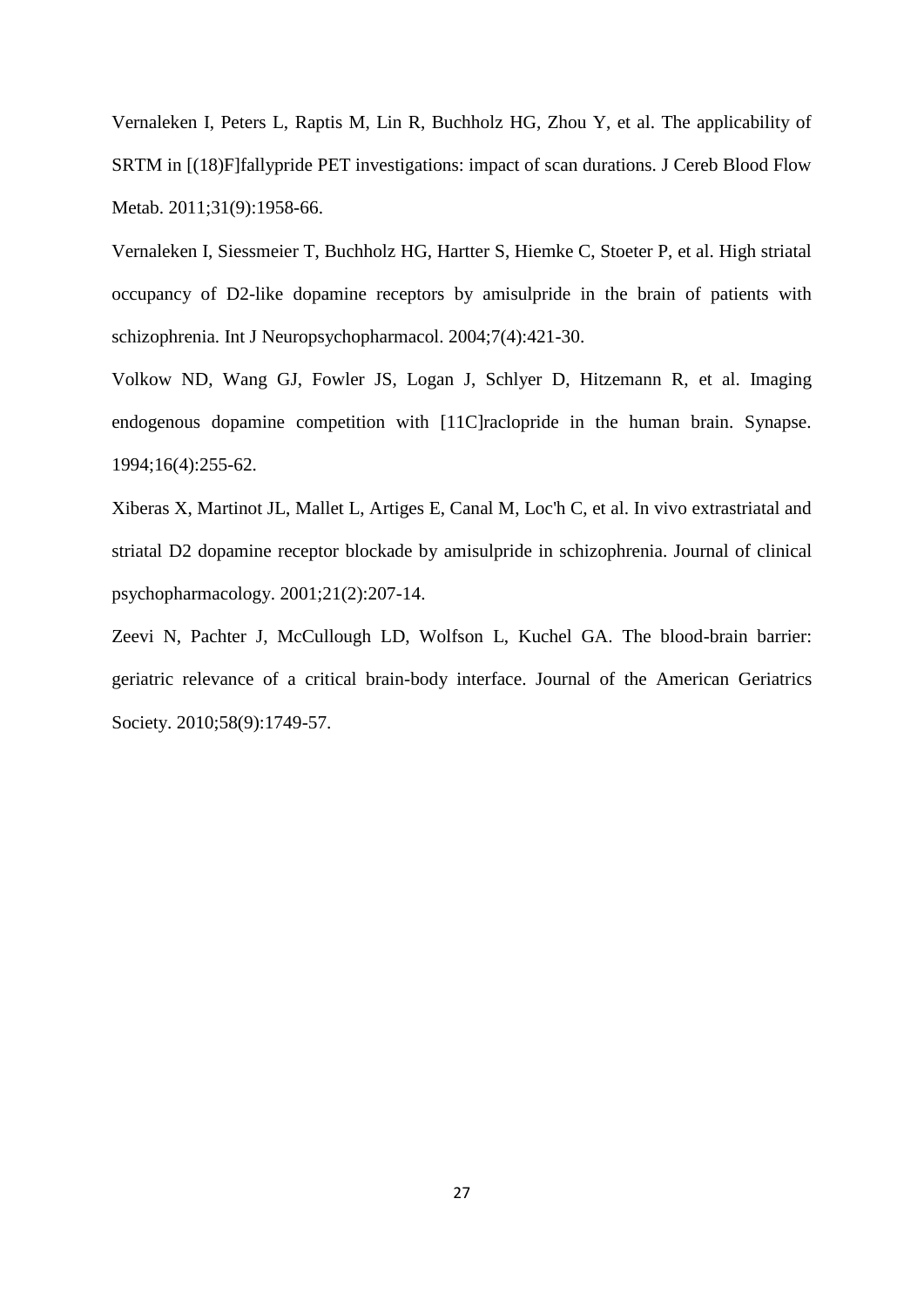Vernaleken I, Peters L, Raptis M, Lin R, Buchholz HG, Zhou Y, et al. The applicability of SRTM in [(18)F]fallypride PET investigations: impact of scan durations. J Cereb Blood Flow Metab. 2011;31(9):1958-66.

Vernaleken I, Siessmeier T, Buchholz HG, Hartter S, Hiemke C, Stoeter P, et al. High striatal occupancy of D2-like dopamine receptors by amisulpride in the brain of patients with schizophrenia. Int J Neuropsychopharmacol. 2004;7(4):421-30.

Volkow ND, Wang GJ, Fowler JS, Logan J, Schlyer D, Hitzemann R, et al. Imaging endogenous dopamine competition with [11C]raclopride in the human brain. Synapse. 1994;16(4):255-62.

Xiberas X, Martinot JL, Mallet L, Artiges E, Canal M, Loc'h C, et al. In vivo extrastriatal and striatal D2 dopamine receptor blockade by amisulpride in schizophrenia. Journal of clinical psychopharmacology. 2001;21(2):207-14.

Zeevi N, Pachter J, McCullough LD, Wolfson L, Kuchel GA. The blood-brain barrier: geriatric relevance of a critical brain-body interface. Journal of the American Geriatrics Society. 2010;58(9):1749-57.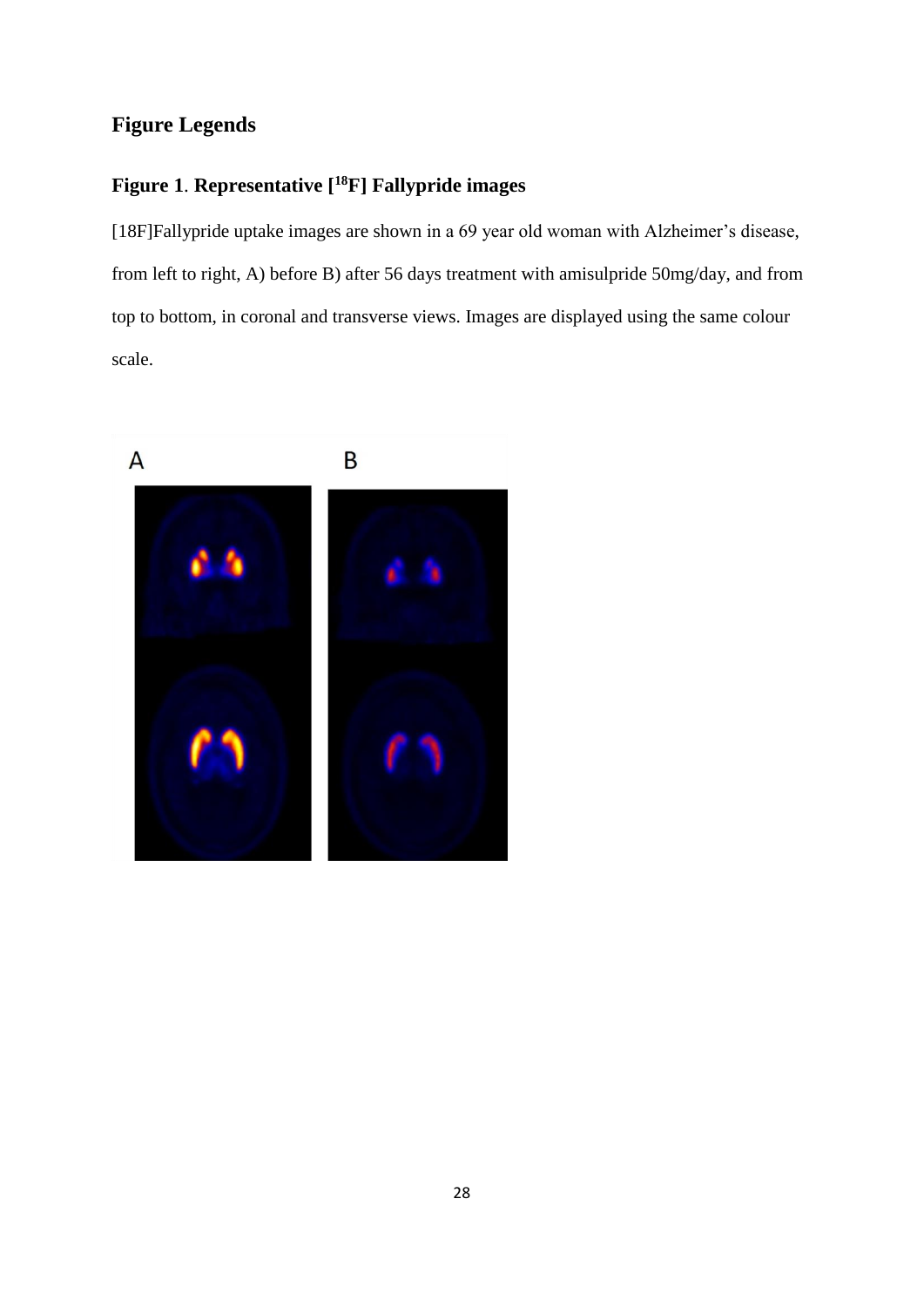# **Figure Legends**

# **Figure 1**. **Representative [<sup>18</sup>F] Fallypride images**

[18F]Fallypride uptake images are shown in a 69 year old woman with Alzheimer's disease, from left to right, A) before B) after 56 days treatment with amisulpride 50mg/day, and from top to bottom, in coronal and transverse views. Images are displayed using the same colour scale.

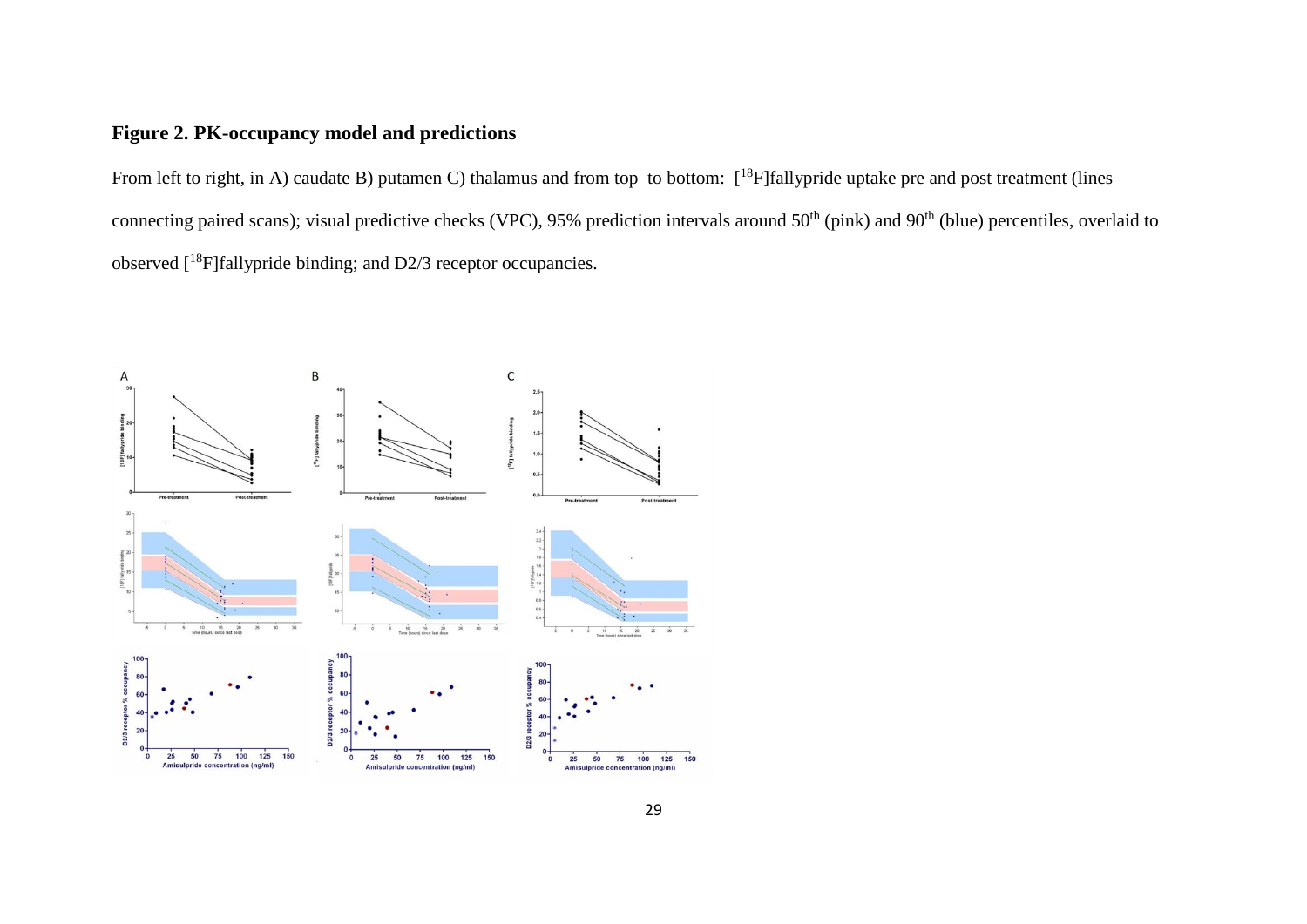# **Figure 2. PK-occupancy model and predictions**

From left to right, in A) caudate B) putamen C) thalamus and from top to bottom:  $[^{18}F]$ fallypride uptake pre and post treatment (lines connecting paired scans); visual predictive checks (VPC), 95% prediction intervals around 50<sup>th</sup> (pink) and 90<sup>th</sup> (blue) percentiles, overlaid to observed [<sup>18</sup>F]fallypride binding; and D2/3 receptor occupancies.

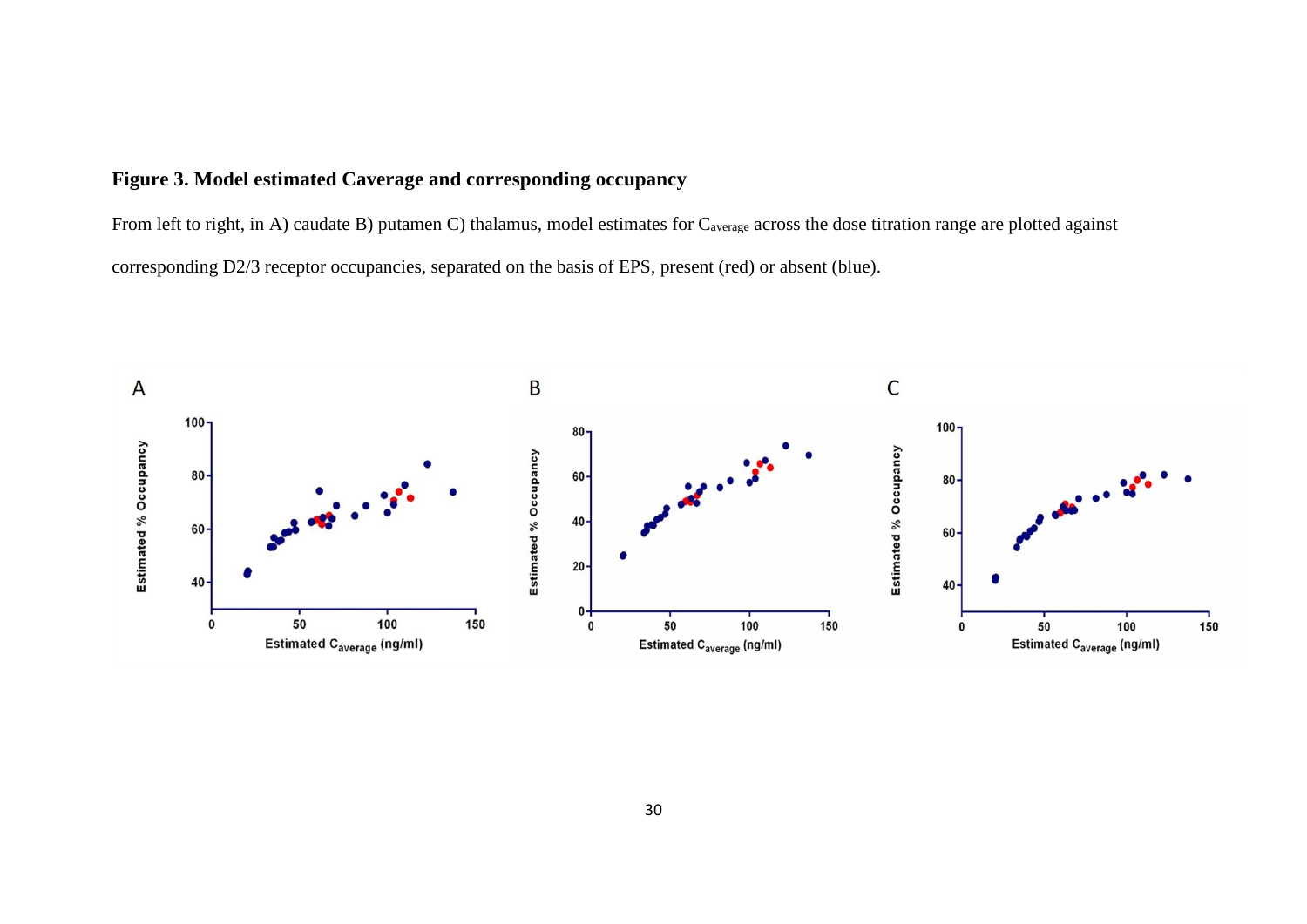# **Figure 3. Model estimated Caverage and corresponding occupancy**

From left to right, in A) caudate B) putamen C) thalamus, model estimates for C<sub>average</sub> across the dose titration range are plotted against corresponding D2/3 receptor occupancies, separated on the basis of EPS, present (red) or absent (blue).

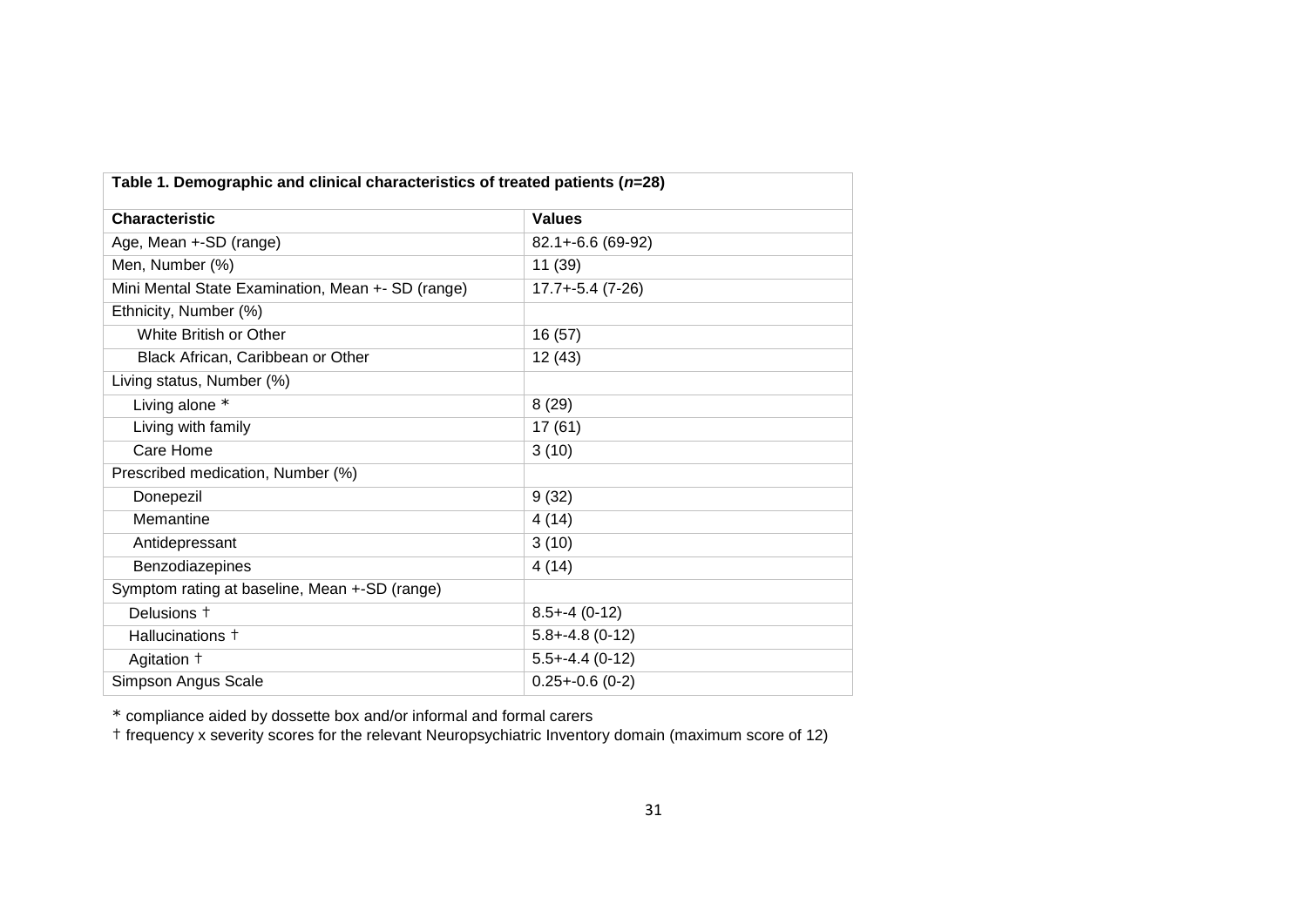| Table 1. Demographic and clinical characteristics of treated patients ( $n=28$ ) |                       |  |  |
|----------------------------------------------------------------------------------|-----------------------|--|--|
| <b>Characteristic</b>                                                            | <b>Values</b>         |  |  |
| Age, Mean +-SD (range)                                                           | 82.1+-6.6 (69-92)     |  |  |
| Men, Number (%)                                                                  | 11 (39)               |  |  |
| Mini Mental State Examination, Mean +- SD (range)                                | $17.7 + -5.4(7 - 26)$ |  |  |
| Ethnicity, Number (%)                                                            |                       |  |  |
| White British or Other                                                           | 16 (57)               |  |  |
| Black African, Caribbean or Other                                                | 12(43)                |  |  |
| Living status, Number (%)                                                        |                       |  |  |
| Living alone *                                                                   | 8(29)                 |  |  |
| Living with family                                                               | 17(61)                |  |  |
| Care Home                                                                        | 3(10)                 |  |  |
| Prescribed medication, Number (%)                                                |                       |  |  |
| Donepezil                                                                        | 9(32)                 |  |  |
| Memantine                                                                        | 4(14)                 |  |  |
| Antidepressant                                                                   | 3(10)                 |  |  |
| Benzodiazepines                                                                  | 4(14)                 |  |  |
| Symptom rating at baseline, Mean +-SD (range)                                    |                       |  |  |
| Delusions +                                                                      | $8.5 + -4(0-12)$      |  |  |
| Hallucinations <sup>+</sup>                                                      | $5.8 + -4.8(0 - 12)$  |  |  |
| Agitation +                                                                      | $5.5 + -4.4$ (0-12)   |  |  |
| Simpson Angus Scale                                                              | $0.25 + -0.6$ (0-2)   |  |  |

\* compliance aided by dossette box and/or informal and formal carers

† frequency x severity scores for the relevant Neuropsychiatric Inventory domain (maximum score of 12)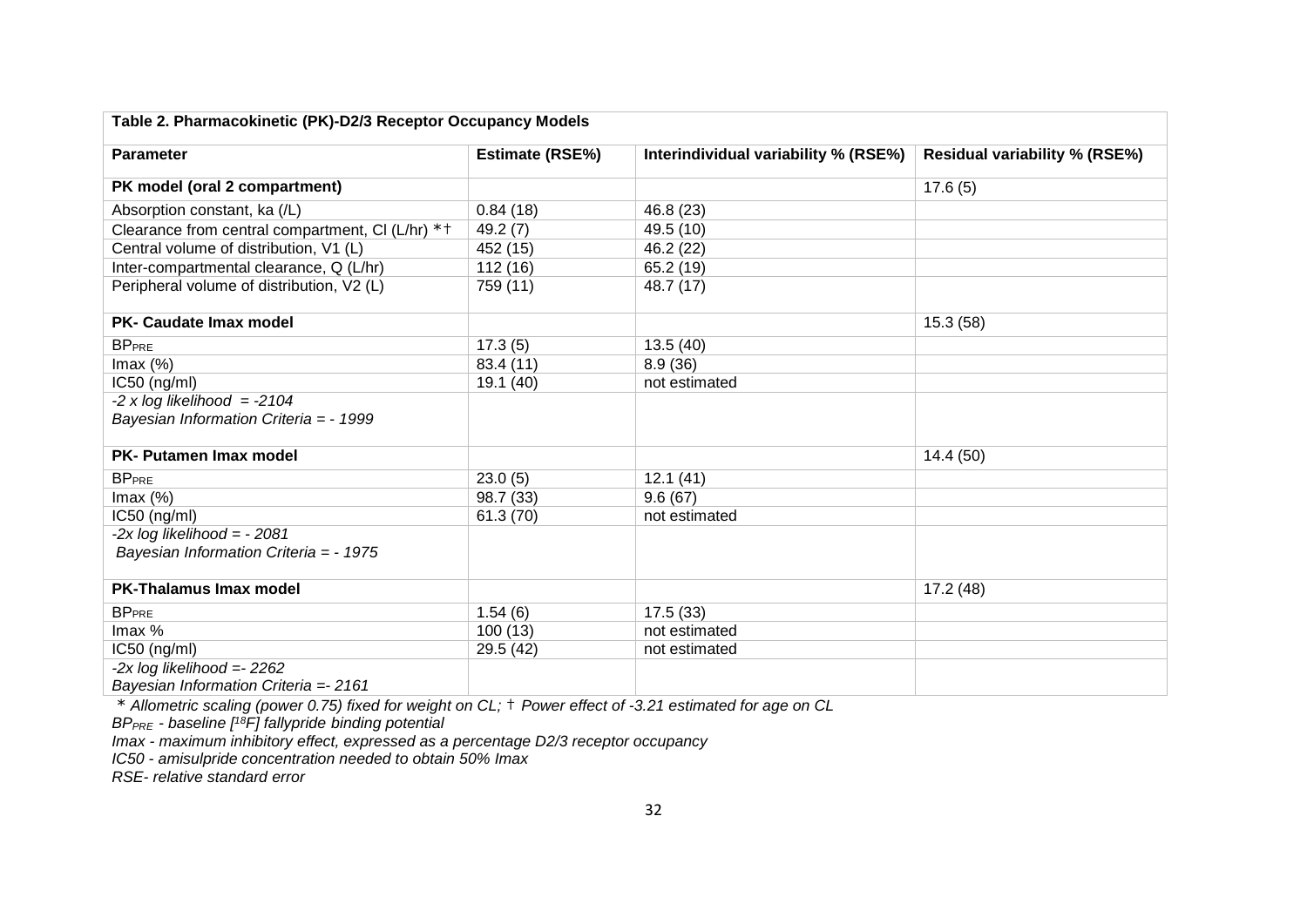| Table 2. Pharmacokinetic (PK)-D2/3 Receptor Occupancy Models |                        |                                      |                                      |  |
|--------------------------------------------------------------|------------------------|--------------------------------------|--------------------------------------|--|
| <b>Parameter</b>                                             | <b>Estimate (RSE%)</b> | Interindividual variability % (RSE%) | <b>Residual variability % (RSE%)</b> |  |
| PK model (oral 2 compartment)                                |                        |                                      | 17.6(5)                              |  |
| Absorption constant, ka (/L)                                 | 0.84(18)               | 46.8 (23)                            |                                      |  |
| Clearance from central compartment, CI (L/hr) * +            | 49.2 (7)               | 49.5 (10)                            |                                      |  |
| Central volume of distribution, V1 (L)                       | 452 (15)               | 46.2 (22)                            |                                      |  |
| Inter-compartmental clearance, Q (L/hr)                      | 112(16)                | 65.2 (19)                            |                                      |  |
| Peripheral volume of distribution, V2 (L)                    | 759 (11)               | 48.7 (17)                            |                                      |  |
| <b>PK- Caudate Imax model</b>                                |                        |                                      | 15.3(58)                             |  |
| <b>BPPRE</b>                                                 | 17.3(5)                | 13.5(40)                             |                                      |  |
| Imax(%)                                                      | 83.4 (11)              | 8.9(36)                              |                                      |  |
| $IC50$ (ng/ml)                                               | 19.1 (40)              | not estimated                        |                                      |  |
| $-2 \times \log$ likelihood = $-2104$                        |                        |                                      |                                      |  |
| Bayesian Information Criteria = - 1999                       |                        |                                      |                                      |  |
| PK- Putamen Imax model                                       |                        |                                      | 14.4(50)                             |  |
| <b>BP</b> <sub>PRE</sub>                                     | 23.0(5)                | 12.1(41)                             |                                      |  |
| Imax $(\%)$                                                  | 98.7 (33)              | 9.6(67)                              |                                      |  |
| $IC50$ (ng/ml)                                               | 61.3(70)               | not estimated                        |                                      |  |
| $-2x \log$ likelihood = $-2081$                              |                        |                                      |                                      |  |
| Bayesian Information Criteria = - 1975                       |                        |                                      |                                      |  |
| <b>PK-Thalamus Imax model</b>                                |                        |                                      | 17.2 (48)                            |  |
| <b>BPPRE</b>                                                 | 1.54(6)                | 17.5(33)                             |                                      |  |
| Imax %                                                       | 100(13)                | not estimated                        |                                      |  |
| $IC50$ (ng/ml)                                               | 29.5 (42)              | not estimated                        |                                      |  |
| $-2x \log$ likelihood = $2262$                               |                        |                                      |                                      |  |
| Bayesian Information Criteria = 2161                         |                        |                                      |                                      |  |

\* *Allometric scaling (power 0.75) fixed for weight on CL;* † *Power effect of -3.21 estimated for age on CL*

*BPPRE - baseline [ <sup>18</sup>F] fallypride binding potential*

*Imax - maximum inhibitory effect, expressed as a percentage D2/3 receptor occupancy*

*IC50 - amisulpride concentration needed to obtain 50% Imax* 

*RSE- relative standard error*